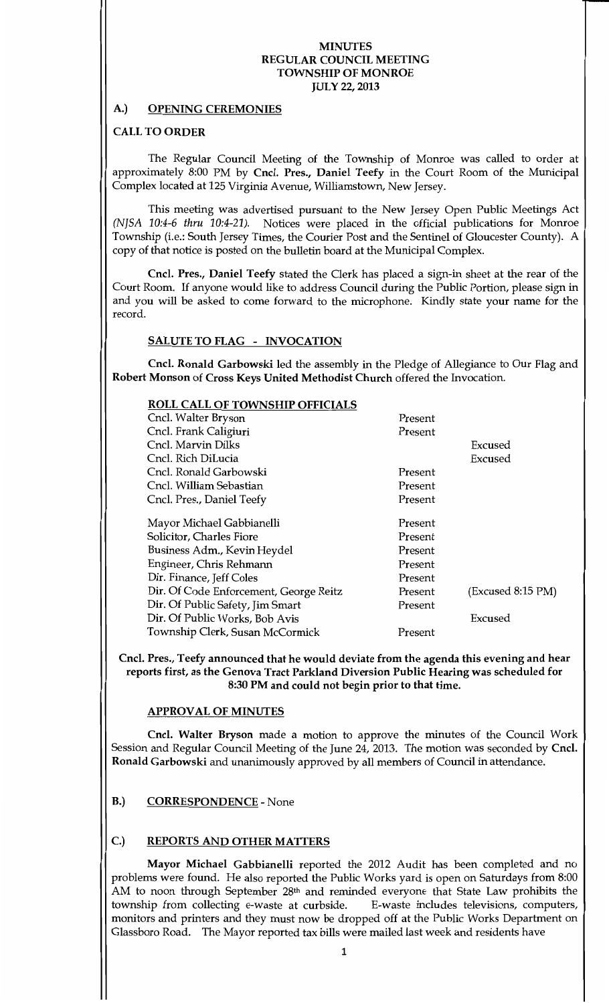### A.) OPENING CEREMONIES

### **CALL TO ORDER**

The Regular Council Meeting of the Township of Monroe was called to order at approximately 8:00 PM by Cncl. Pres., Daniel Teefy in the Court Room of the Municipal Complex located at 125 Virginia Avenue, Williamstown, New Jersey.

This meeting was advertised pursuant to the New Jersey Open Public Meetings Act (NJSA 10:4-6 thru 10:4-21). Notices were placed in the official publications for Monroe Township (i.e.: South Jersey Times, the Courier Post and the Sentinel of Gloucester County). A copy of that notice is posted on the bulletin board at the Municipal Complex.

Cncl. Pres., Daniel Teefy stated the Clerk has placed a sign-in sheet at the rear of the Court Room. If anyone would like to address Council during the Public Portion, please sign in and you will be asked to come forward to the microphone. Kindly state your name for the record

### SALUTE TO FLAG - INVOCATION

Cncl. Ronald Garbowski led the assembly in the Pledge of Allegiance to Our Flag and Robert Monson of Cross Keys United Methodist Church offered the Invocation

| ROLL CALL OF TOWNSHIP OFFICIALS        |         |                   |
|----------------------------------------|---------|-------------------|
| Cncl. Walter Bryson                    | Present |                   |
| Cncl. Frank Caligiuri                  | Present |                   |
| Cncl. Marvin Dilks                     |         | Excused           |
| Cncl. Rich DiLucia                     |         | Excused           |
| Cncl. Ronald Garbowski                 | Present |                   |
| Cncl. William Sebastian                | Present |                   |
| Cncl. Pres., Daniel Teefy              | Present |                   |
| Mayor Michael Gabbianelli              | Present |                   |
| Solicitor, Charles Fiore               | Present |                   |
| Business Adm., Kevin Heydel            | Present |                   |
| Engineer, Chris Rehmann                | Present |                   |
| Dir. Finance, Jeff Coles               | Present |                   |
| Dir. Of Code Enforcement, George Reitz | Present | (Excused 8:15 PM) |
| Dir. Of Public Safety, Jim Smart       | Present |                   |
| Dir. Of Public Works, Bob Avis         |         | Excused           |
| Township Clerk, Susan McCormick        | Present |                   |
|                                        |         |                   |

Cncl. Pres., Teefy announced that he would deviate from the agenda this evening and hear reports first, as the Genova Tract Parkland Diversion Public Hearing was scheduled for 8:30 PM and could not begin prior to that time.

# **APPROVAL OF MINUTES**

Cncl. Walter Bryson made a motion to approve the minutes of the Council Work Session and Regular Council Meeting of the June 24, 2013. The motion was seconded by Cncl. Ronald Garbowski and unanimously approved by all members of Council in attendance

# B.) CORRESPONDENCE - None

### C.) REPORTS AND OTHER MATTERS

Mayor Michael Gabbianelli reported the <sup>2012</sup> Audit has been completed and no problems were found. He also reported the Public Works yard is open on Saturdays from 8:00 AM to noon through September 28<sup>th</sup> and reminded everyone that State Law prohibits the township from collecting e-waste at curbside. E-waste includes televisions, computers, township from collecting e-waste at curbside. E-waste includes televisions, computers,<br>monitors on large terms and the same dealer dealer dealer dealer the Delite Merchan Department on monitors and printers and they must now be dropped off at the Public Works Department on Glassboro Road. The Mayor reported tax bills were mailed last week and residents have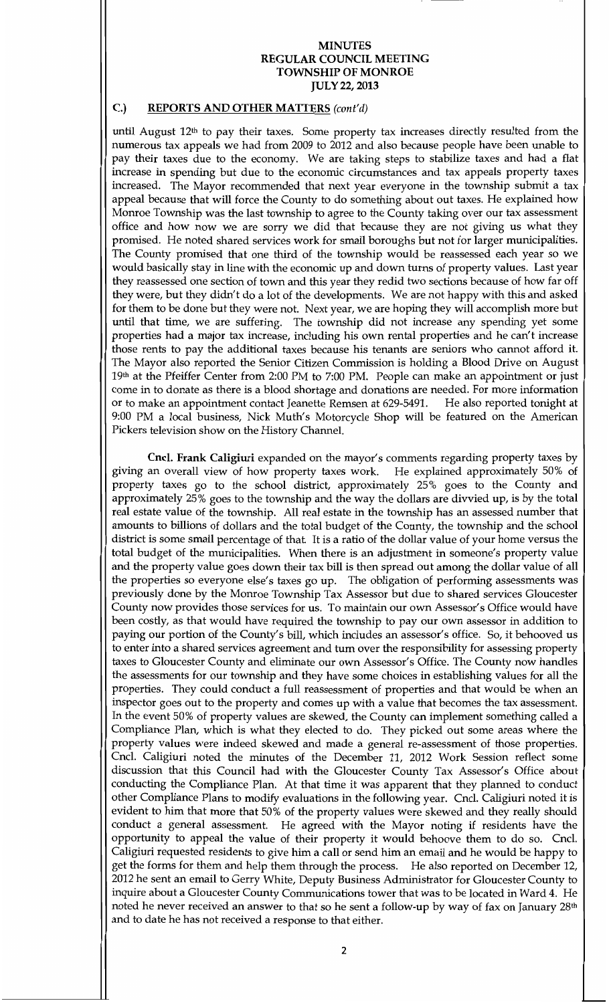## C.) REPORTS AND OTHER MATTERS (cont'd)

until August  $12<sup>th</sup>$  to pay their taxes. Some property tax increases directly resulted from the numerous tax appeals we had from <sup>2009</sup> to <sup>2012</sup> and also because people have been unable to pay their taxes due to the economy. We are taking steps to stabilize taxes and had a flat increase in spending but due to the economic circumstances and tax appeals property taxes increased. The Mayor recommended that next year everyone in the township submit a tax appeal because that will force the County to do something about out taxes. He explained how Momoe Township was the last township to agree to the County taking over our tax assessment office and how now we are sorry we did that because they are not giving us what they promised. He noted shared services work for small boroughs but not for larger municipalities. The County promised that one third of the township would be reassessed each year so we would basically stay in line with the economic up and down turns of property values. Last year they reassessed one section of town and this year they redid two sections because of how far off they were, but they didn't do a lot of the developments. We are not happy with this and asked for them to be done but they were not. Next year, we are hoping they will accomplish more but until that time, we are suffering. The township did not increase any spending yet some properties had a major tax increase, including his own rental properties and he can't increase those rents to pay the additional taxes because his tenants are seniors who cannot afford it The Mayor also reported the Senior Citizen Commission is holding a Blood Drive on August 19th at the Pfeiffer Center from 2:00 PM to 7:00 PM. People can make an appointment or just come in to donate as there is a blood shortage and donations are needed. For more information or to make an appointment contact Jeanette Remsen at 629-5491. He also reported tonight at 9:00 PM a local business, Nick Muth's Motorcycle Shop will be featured on the American Pickers television show on the History Channel.

Cncl. Frank Caligiuri expanded on the mayor's comments regarding property taxes by an overall view of how property taxes work. He explained approximately 50% of giving an overall view of how property taxes work. property taxes go to the school district, approximately 25% goes to the County and approximately 25% goes to the township and the way the dollars are divvied up, is by the total real estate value of the township. All real estate in the township has an assessed number that amounts to billions of dollars and the total budget of the County, the township and the school district is some small percentage of that. It is a ratio of the dollar value of your home versus the total budget of the municipalities. When there is an adjustment in someone's property value and the property value goes down their tax bill is then spread out among the dollar value of all the properties so everyone else's taxes go up. The obligation of performing assessments was previously done by the Momoe Township Tax Assessor but due to shared services Gloucester County now provides those services for us. To maintain our own Assessor's Office would have been costly, as that would have required the township to pay our own assessor in addition to paying our portion of the County's bill, which includes an assessor's office. So, it behooved us to enter into ashared services agreement and turn over the responsibility for assessing property taxes to Gloucester County and eliminate our own Assessor's Office. The County now handles the assessments for our township and they have some choices in establishing values for all the properties. They could conduct a full reassessment of properties and that would be when an inspector goes out to the property and comes up with a value that becomes the tax assessment. In the event 50% of property values are skewed, the County can implement something called a Compliance Plan, which is what they elected to do. They picked out some areas where the property values were indeed skewed and made a general re-assessment of those properties. Cncl. Caligiuri noted the minutes of the December 11, 2012 Work Session reflect some discussion that this Council had with the Gloucester County Tax Assessor's Office about conducting the Compliance Plan. At that time it was apparent that they planned to conduct other Compliance Plans to modify evaluations in the following year. Cncl. Caligiuri noted it is evident to him that more that 50% of the property values were skewed and they really should conduct a general assessment. He agreed with the Mayor noting if residents have the opportunity to appeal the value of their property it would behoove them to do so. Cncl. Caligiuri requested residents to give him a call or send him an email and he would be happy to get the forms for them and help them through the process. He also reported on December 12, 2012 he sent an email to Gerry White, Deputy Business Administrator for Gloucester County to inquire about a Gloucester County Communications tower that was to be located in Ward 4. He noted he never received an answer to that so he sent a follow-up by way of fax on January 28<sup>th</sup> and to date he has not received a response to that either.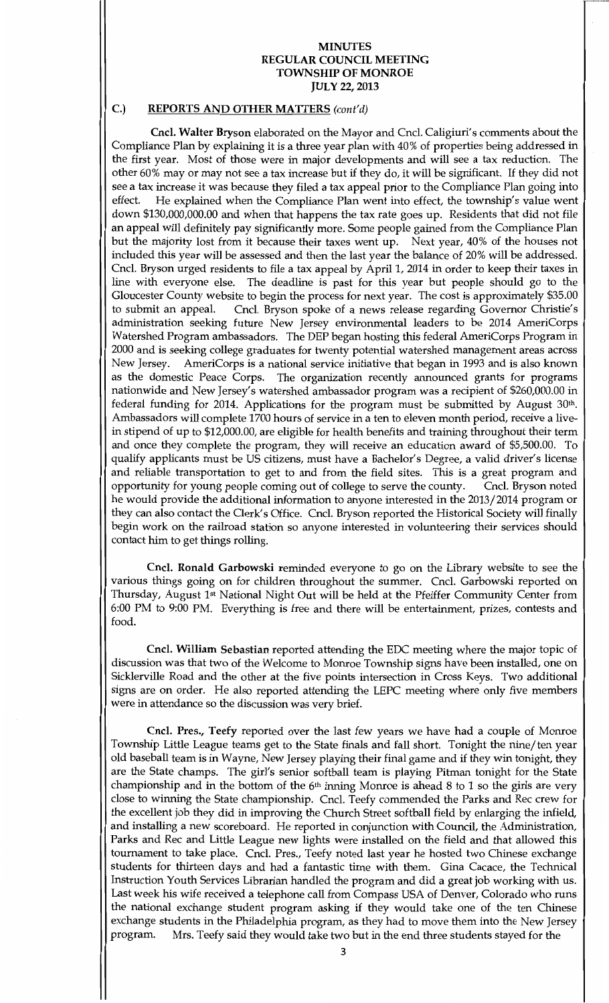# C.) REPORTS AND OTHER MATTERS (cont'd)

Cncl. Walter Bryson elaborated on the Mayor and Cncl. Caligiuri's comments about the Compliance Plan by explaining it is a three year plan with 40% of properties being addressed in the first year. Most of those were in major developments and will see a tax reduction. The other 60% may or may not see a tax increase but if they do, it will be significant. If they did not see a tax increase it was because they filed a tax appeal prior to the Compliance Plan going into effect. He explained when the Compliance Plan went into effect, the township's value went He explained when the Compliance Plan went into effect, the township's value went down \$130,000,000.00 and when that happens the tax rate goes up. Residents that did not file an appeal will definitely pay significantly more Some people gained from the Compliance Plan but the majority lost from it because their taxes went up. Next year, 40% of the houses not included this year will be assessed and then the last year the balance of 20% will be addressed. Cncl. Bryson urged residents to file a tax appeal by April 1, 2014 in order to keep their taxes in line with everyone else. The deadline is past for this year but people should go to the Gloucester County website to begin the process for next year. The cost is approximately \$35.00 to submit an appeal. Cncl. Bryson spoke of a news release regarding Governor Christie's Cncl. Bryson spoke of a news release regarding Governor Christie's administration seeking future New Jersey environmental leaders to be <sup>2014</sup> AmeriCorps Watershed Program ambassadors. The DEP began hosting this federal AmeriCorps Program in <sup>2000</sup> and is seeking college graduates for twenty potential watershed management areas across New Jersey. AmeriCorps is a national service initiative that began in 1993 and is also known as the domestic Peace Corps. The organization recently announced grants for programs nationwide and New Jersey's watershed ambassador program was a recipient of \$260,000.00 in federal funding for 2014. Applications for the program must be submitted by August 30th. Ambassadors will complete 1700 hours of service in a ten to eleven month period, receive a livein stipend of up to \$12,000.00, are eligible for health benefits and training throughout their term and once they complete the program, they will receive an education award of \$5,500.00. To qualify applicants must be US citizens, must have a Bachelor's Degree, a valid driver's license and reliable transportation to get to and from the field sites. This is a great program and opportunity for young people coming out of college to serve the county. Cncl. Bryson noted opportunity for young people coming out of college to serve the county. he would provide the additional information to anyone interested in the 2013/2014 program or they can also contact the Clerk's Office. Cncl. Bryson reported the Historical Society will finally begin work on the railroad station so anyone interested in volunteering their services should contact him to get things rolling.

Cncl. Ronald Garbowski reminded everyone to go on the Library website to see the various things going on for children throughout the summer. Cncl. Garbowski reported on Thursday, August 1<sup>st</sup> National Night Out will be held at the Pfeiffer Community Center from 6:00 PM to 9:00 PM. Everything is free and there will be entertainment, prizes, contests and food

Cncl. William Sebastian reported attending the EDC meeting where the major topic of discussion was that two of the Welcome to Monroe Township signs have been installed, one on Sicklerville Road and the other at the five points intersection in Cross Keys. Two additional signs are on order. He also reported attending the LEPC meeting where only five members were in attendance so the discussion was very brief

Cncl. Pres., Teefy reported over the last few years we have had a couple of Monroe Township Little League teams get to the State finals and fall short. Tonight the nine/ten year old baseball team is in Wayne, New Jersey playing their final game and if they win tonight, they are the State champs. The girl's senior softball team is playing Pitman tonight for the State championship and in the bottom of the  $6<sup>th</sup>$  inning Monroe is ahead 8 to 1 so the girls are very close to winning the State championship. Cncl. Teefy commended the Parks and Rec crew for the excellent job they did in improving the Church Street softball field by enlarging the infield and installing a new scoreboard. He reported in conjunction with Council, the Administration, Parks and Rec and Little League new lights were installed on the field and that allowed this tournament to take place. Cncl. Pres., Teefy noted last year he hosted two Chinese exchange students for thirteen days and had a fantastic time with them. Gina Cacace, the Technical Instruction Youth Services Librarian handled the program and did a great job working with us Last week his wife received a telephone call from Compass USA of Denver, Colorado who runs the national exchange student program asking if they would take one of the ten Chinese exchange students in the Philadelphia program, as they had to move them into the New Jersey<br>program. Mrs. Teefy said they would take two but in the end three students stayed for the Mrs. Teefy said they would take two but in the end three students stayed for the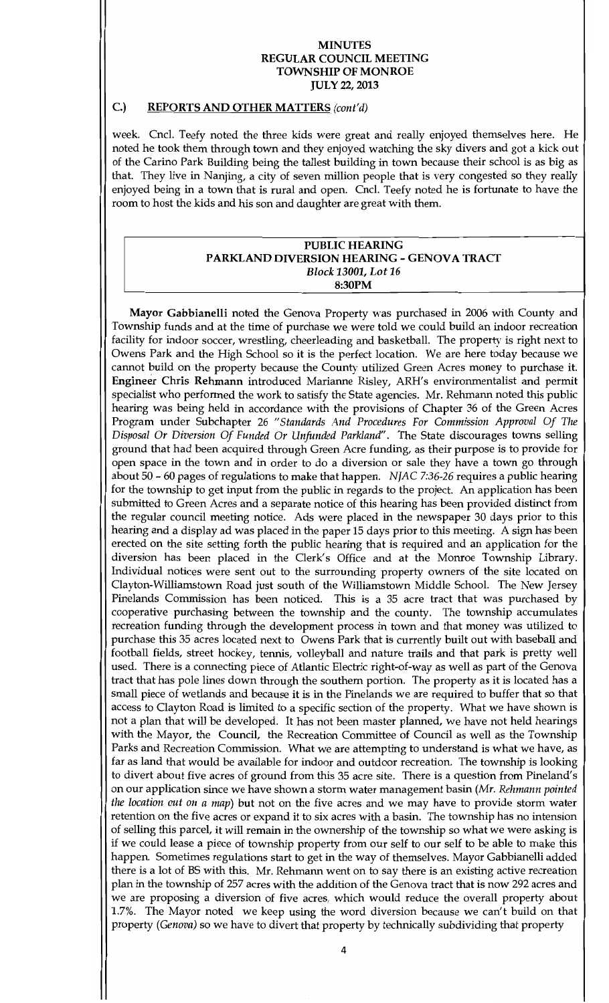### C.) REPORTS AND OTHER MATTERS (cont'd)

week. Cncl. Teefy noted the three kids were great and really enjoyed themselves here. He noted he took them through town and they enjoyed watching the sky divers and got a kick out of the Carino Park Building being the tallest building in townbecause their school is as big as that. They live in Nanjing, a city of seven million people that is very congested so they really enjoyed being in a town that is rural and open. Cncl. Teefy noted he is fortunate to have the room to host the kids and his son and daughter are great with them

#### PUBLIC HEARING PARKLAND DIVERSION HEARING - GENOVA TRACT Block 13001, Lot 16 8:30PM

Mayor Gabbianelli noted the Genova Property was purchased in <sup>2006</sup> with County and Township funds and at the time of purchase we were told we could build an indoor recreation facility for indoor soccer, wrestling, cheerleading and basketball. The property is right next to Owens Park and the High School so it is the perfect location. We are here today because we cannot build on the property because the County utilized Green Acres money to purchase it Engineer Chris Rehmann introduced Marianne Risley, ARH's environmentalist and permit specialist who performed the work to satisfy the State agencies. Mr. Rehmann noted this public hearing was being held in accordance with the provisions of Chapter <sup>36</sup> of the Green Acres Program under Subchapter 26 "Standards And Procedures For Commission Approval Of The Disposal Or Diversion Of Funded Or Unfunded Parkland". The State discourages towns selling ground that had been acquired through Green Acre funding, as their purpose is to provide for open space in the town and in order to do a diversion or sale they have a town go through about 50 - 60 pages of regulations to make that happen. NJAC 7:36-26 requires a public hearing for the township to get input from the public in regards to the project. An application has been submitted to Green Acres and a separate notice of this hearing has been provided distinct from the regular council meeting notice. Ads were placed in the newspaper 30 days prior to this hearing and a display ad was placed in the paper 15 days prior to this meeting. A sign has been erected on the site setting forth the public hearing that is required and an application for the diversion has been placed in the Clerk's Office and at the Monroe Township Library. Individual notices were sent out to the surrounding property owners of the site located on Clayton-Williamstown Road just south of the Williamstown Middle School. The New Jersey Pinelands Commission has been noticed. This is a 35 acre tract that was purchased by cooperative purchasing between the township and the county. The township accumulates recreation funding through the development process in town and that money was utilized to purchase this 35 acres located next to Owens Park that is currently built out with baseball and football fields, street hockey, tennis, volleyball and nature trails and that park is pretty well used. There is a connecting piece of Atlantic Electric right-of-way as well as part of the Genova tract that has pole lines down through the southern portion. The property as it is located has a small piece of wetlands and because it is in the Pinelands we are required to buffer that so that access to Clayton Road is limited to a specific section of the property. What we have shown is not a plan that will be developed. It has not been master planned, we have not held hearings with the Mayor, the Council, the Recreation Committee of Council as well as the Township Parks and Recreation Commission. What we are attempting to understand is what we have, as far as land that would be available for indoor and outdoor recreation. The township is looking to divert about five acres of ground from this 35 acre site. There is a question from Pineland's on our application since we have shown a storm water management basin (Mr. Rehmann pointed the location out on a map) but not on the five acres and we may have to provide storm water retention on the five acres or expand it to six acres with a basin. The township has no intension of selling this parcel, it will remain in the ownership of the township so what we were asking is if we could lease a piece of township property from our self to our self to be able tomake this happen. Sometimes regulations start to get in the way of themselves. Mayor Gabbianelli added there is a lot of BS with this. Mr. Rehmann went on to say there is an existing active recreation plan in the township of <sup>257</sup> acres with the addition of the Genova tract that is now <sup>292</sup> acres and we are proposing a diversion of five acres, which would reduce the overall property about 1.7%. The Mayor noted we keep using the word diversion because we can't build on that property (Genova) so we have to divert that property by technically subdividing that property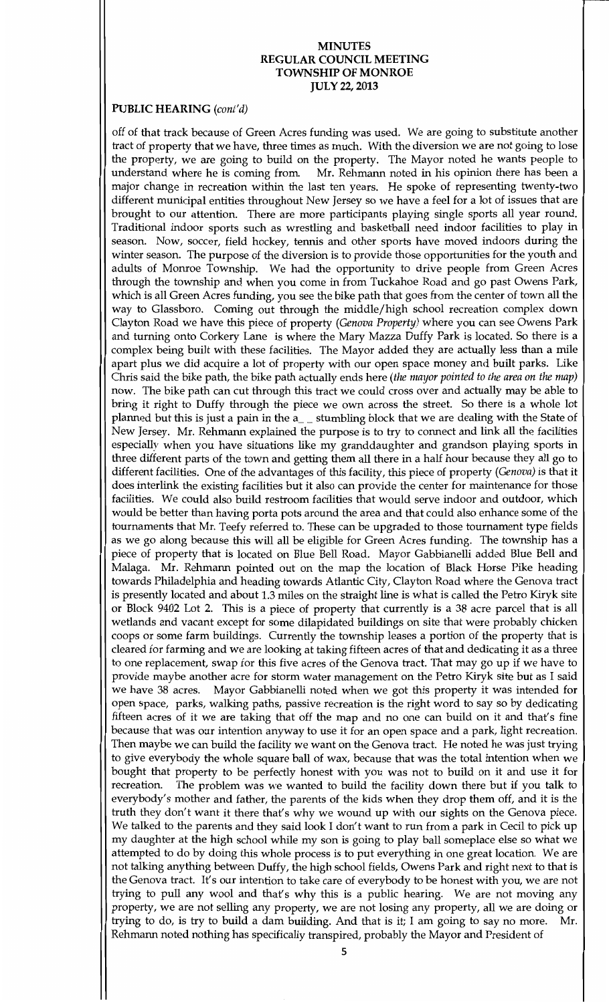### PUBLIC HEARING (cont'd)

off of that track because of Green Acres funding was used. We are going to substitute another tract of property that we have, three times as much. With the diversion we are not going to lose the property, we are going to build on the property. The Mayor noted he wants people to understand where he is coming from. Mr. Rehmann noted in his opinion there has been a major change in recreation within the last ten years. He spoke of representing twenty-two different municipal entities throughout New Jersey so we have a feel for a lot of issues that are brought to our attention. There are more participants playing single sports all year round. Traditional indoor sports such as wrestling and basketball need indoor facilities to play in season. Now, soccer, field hockey, tennis and other sports have moved indoors during the winter season. The purpose of the diversion is to provide those opportunities for the youth and adults of Monroe Township. We had the opportunity to drive people from Green Acres through the township and when you come in from Tuckahoe Road and go past Owens Park which is all Green Acres funding, you see the bike path that goes from the center of town all the way to Glassboro. Coming out through the middle/high school recreation complex down Clayton Road we have this piece of property (Genova Property) where you can see Owens Park and turning onto Corkery Lane is where the Mary Mazza Duffy Park is located. So there is a complex being built with these facilities. The Mayor added they are actually less than a mile apart plus we did acquire a lot of property with our open space money and built parks. Like Chris said the bike path, the bike path actually ends here (the mayor pointed to the area on the map) now. The bike path can cut through this tract we could cross over and actually may be able to bring it right to Duffy through the piece we own across the street. So there is a whole lot planned but this is just a pain in the a stumbling block that we are dealing with the State of New Jersey. Mr. Rehmann explained the purpose is to try to connect and link all the facilities especially when you have situations like my granddaughter and grandson playing sports in three different parts of the town and getting them all there in a half hour because they all go to different facilities. One of the advantages of this facility, this piece of property (Genova) is that it does interlink the existing facilities but it also can provide the center for maintenance for those facilities. We could also build restroom facilities that would serve indoor and outdoor, which would be better than having porta pots around the area and that could also enhance some of the tournaments that Mr. Teefy referred to. These can be upgraded to those tournament type fields as we go along because this will all be eligible for Green Acres funding. The township has a piece of property that is located on Blue Bell Road. Mayor Gabbianelli added Blue Bell and Malaga. Mr. Rehmann pointed out on the map the location of Black Horse Pike heading towards Philadelphia and heading towards Atlantic City, Clayton Road where the Genova tract is presently located and about 1.3 miles on the straight line is what is called the Petro Kiryk site or Block 9402 Lot 2. This is a piece of property that currently is a 38 acre parcel that is all wetlands and vacant except for some dilapidated buildings on site that were probably chicken coops or some farm buildings. Currently the township leases a portion of the property that is cleared for farming and we are looking at taking fifteen acres of that and dedicating it as <sup>a</sup> three to one replacement, swap for this five acres of the Genova tract. That may go up if we have to provide maybe another acre for storm water management on the Petro Kiryk site but as Isaid we have 38 acres. Mayor Gabbianelli noted when we got this property it was intended for open space, parks, walking paths, passive recreation is the right word to say so by dedicating fifteen acres of it we are taking that off the map and no one can build on it and that's fine because that was our intention anyway to use it for an open space and a park, light recreation. Then maybe we can build the facility we want on the Genova tract. He noted he was just trying to give everybody the whole square ball of wax, because that was the total intention when we bought that property to be perfectly honest with you was not to build on it and use it for recreation. The problem was we wanted to build the facility down there but if you talk to The problem was we wanted to build the facility down there but if you talk to everybody's mother and father, the parents of the kids when they drop them off, and it is the truth they don't want it there that's why we wound up with our sights on the Genova piece. We talked to the parents and they said look I don't want to run from a park in Cecil to pick up my daughter at the high school while my son is going to play ball someplace else so what we attempted to do by doing this whole process is to put everything in one great location. We are not talking anything between Duffy, the high school fields, Owens Park and right next to that is the Genova tract. It's our intention to take care of everybody to be honest with you, we are not trying to pull any wool and that's why this is a public hearing. We are not moving any property, we are not selling any property, we are not losing any property, all we are doing or trying to do, is try to build a dam building. And that is it; I am going to say no more. Mr. Rehmann noted nothing has specifically transpired, probably the Mayor and President of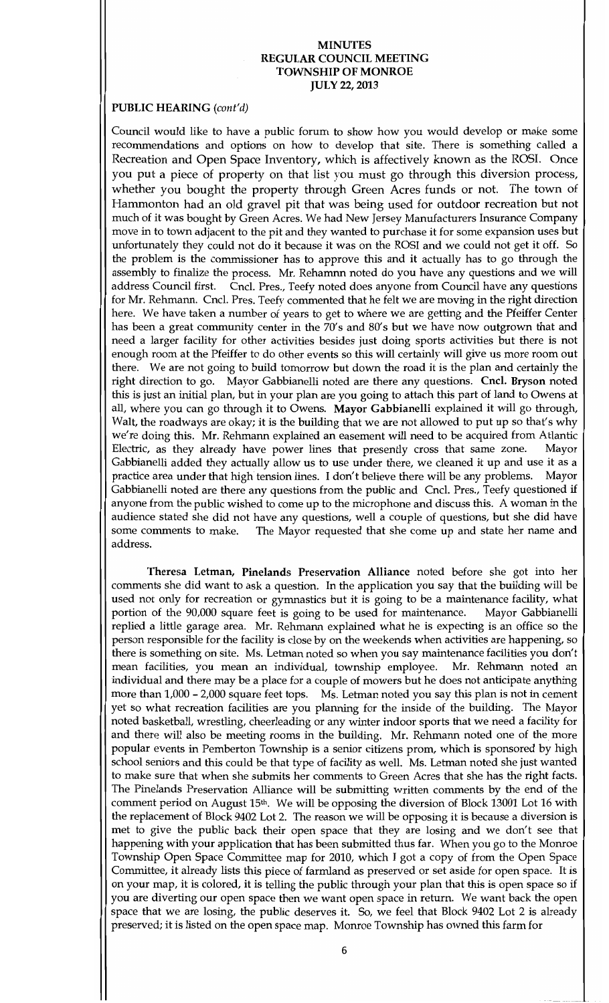### PUBLIC HEARING (cont'd)

Council would like to have a public forum to show how you would develop or make some recommendations and options on how to develop that site. There is something called a Recreation and Open Space Inventory, which is affectively known as the ROSI. Once you put a piece of property on that list you must go through this diversion process whether you bought the property through Green Acres funds or not. The town of Hammonton had an old gravel pit that was being used for outdoor recreation but not much of it was bought by Green Acres. We had New Jersey Manufacturers Insurance Company move in to townadjacent to the pit and they wanted to purchase it for some expansion uses but unfortunately they could not do it because it was on the ROSI and we could not get it off. So the problem is the commissioner has to approve this and it actually has to go through the assembly to finalize the process. Mr. Rehamnn noted do you have any questions and we will address Council first. Cncl. Pres., Teefy noted does anyone from Council have any questions for Mr. Rehmann. Cncl. Pres. Teefy commented that he felt we are moving in the right direction here. We have taken a number of years to get to where we are getting and the Pfeiffer Center has been a great community center in the 70's and 80's but we have now outgrown that and need a larger facility for other activities besides just doing sports activities but there is not enough room at the Pfeiffer to do other events so this will certainly will give us more room out there. We are not going to build tomorrow but down the road it is the plan and certainly the right direction to go. Mayor Gabbianelli noted are there any questions. Cncl. Bryson noted this is just an initial plan, but in your plan are you going to attach this part of land to Owens at all, where you can go through it to Owens. Mayor Gabbianelli explained it will go through, Walt, the roadways are okay; it is the building that we are not allowed to put up so that's why we're doing this. Mr. Rehmann explained an easement will need to be acquired from Atlantic<br>Electric, as they already have power lines that presently cross that same zone. Mayor Electric, as they already have power lines that presently cross that same zone. Gabbianelli added they actually allow us to use under there, we cleaned it up and use it as a practice area under that high tension lines. I don't believe there will be any problems. Mayor practice area under that high tension lines. I don't believe there will be any problems. Gabbianelli noted are there any questions from the public and Cncl. Pres., Teefy questioned if anyone from the public wished to come up to the microphone and discuss this. A woman in the audience stated she did not have any questions, well a couple of questions, but she did have some comments to make. The Mayor requested that she come up and state her name and The Mayor requested that she come up and state her name and address

Theresa Letman, Pinelands Preservation Alliance noted before she got into her comments she did want to ask a question. In the application you say that the building will be used not only for recreation or gymnastics but it is going to be a maintenance facility, what<br>portion of the 90,000 square feet is going to be used for maintenance. Mayor Gabbianelli portion of the 90,000 square feet is going to be used for maintenance. replied a little garage area. Mr. Rehmann explained what he is expecting is an office so the person responsible for the facility is close by on the weekends when activities are happening, so there is something on site. Ms. Letman noted so when you say maintenance facilities you don't mean facilities, you mean an individual, township employee. Mr. Rehmann noted an mean facilities, you mean an individual, township employee. individual and there may be a place for acouple of mowersbut he does not anticipate anything more than 1,000 - 2,000 square feet tops. Ms. Letman noted you say this plan is not in cement yet so what recreation facilities are you planning for the inside of the building. The Mayor noted basketball, wrestling, cheerleading or any winter indoor sports that we need a facility for and there will also be meeting rooms in the building. Mr. Rehmann noted one of the more popular events in Pemberton Township is a senior citizens prom, which is sponsored by high school seniors and this could be that type of facility as well. Ms. Letman noted she just wanted to make sure that when she submits her comments to Green Acres that she has the right facts The Pinelands Preservation Alliance will be submitting written comments by the end of the comment period on August 15<sup>th</sup>. We will be opposing the diversion of Block 13001 Lot 16 with the replacement of Block 9402 Lot 2. The reason we will be opposing it is because a diversion is met to give the public back their open space that they are losing and we don't see that happening with your application that has been submitted thus far. When you go to the Monroe Township Open Space Committee map for 2010, which I got a copy of from the Open Space Committee, it already lists this piece of farmland as preserved or set aside for open space. It is on your map, it is colored, it is telling the public through your plan that this is open space so if you are diverting our open space then we want open space in return. We want back the open space that we are losing, the public deserves it. So, we feel that Block 9402 Lot 2 is already preserved; it is listed on the open space map. Monroe Township has owned this farm for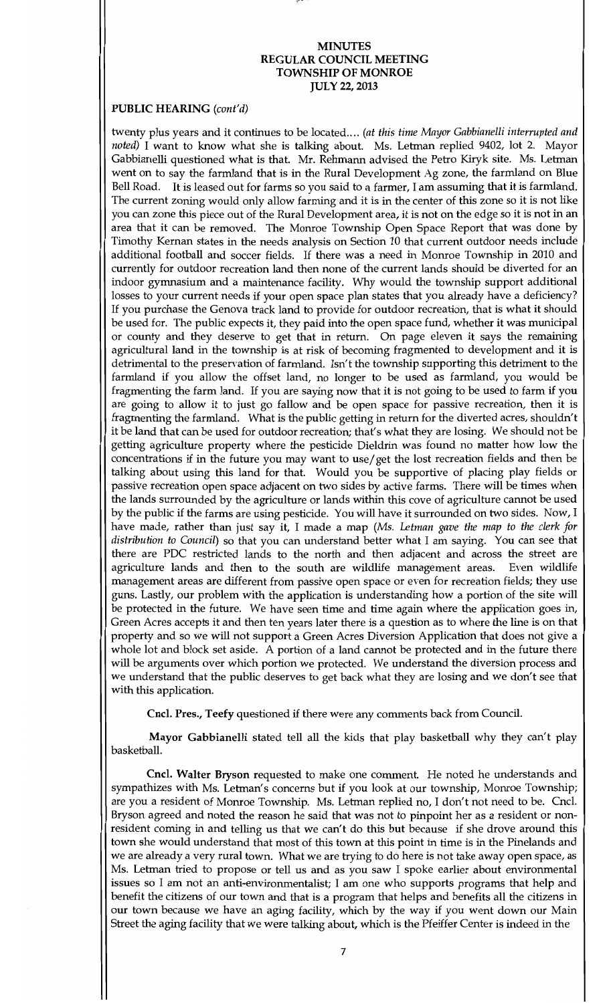## PUBLIC HEARING (cont'd)

twenty plus years and it continues to be located.... (at this time Mayor Gabbianelli interrupted and noted) I want to know what she is talking about. Ms. Letman replied 9402, lot 2. Mayor Gabbianelli questioned what is that. Mr. Rehmann advised the Petro Kiryk site. Ms. Letman went on to say the farmland that is in the Rural Development Ag zone, the farmland on Blue Bell Road. It is leased out for farms so you said to a farmer, I am assuming that it is farmland. The current zoning would only allow farming and it is in the center of this zone so it is not like you can zone this piece out of the Rural Development area, it is not on the edge so it is not in an area that it can be removed. The Monroe Township Open Space Report that was done by Timothy Kernan states in the needs analysis on Section <sup>10</sup> that current outdoor needs include additional football and soccer fields. If there was a need in Monroe Township in 2010 and currently for outdoor recreation land then none of the current lands should be diverted for an indoor gymnasium and a maintenance facility. Why would the township support additional losses to your current needs if your open space plan states that you already have a deficiency? If you purchase the Genova track land to provide for outdoor recreation, that is what it should be used for. The public expects it, they paid into the open space fund, whether it was municipal or county and they deserve to get that in return. On page eleven it says the remaining agricultural land in the township is at risk of becoming fragmented to development and it is detrimental to the preservation of farmland. Isn't the township supporting this detriment to the farmland if you allow the offset land, no longer to be used as farmland, you would be fragmenting the farm land. If you are saying now that it is not going to be used to farm if you are going to allow it to just go fallow and be open space for passive recreation, then it is fragmenting the farmland. What is the public getting in return for the diverted acres, shouldn't it be land that can be used for outdoor recreation; that's what they are losing. We should not be getting agriculture property where the pesticide Dieldrin was found no matter how low the concentrations if in the future you may want to use/get the lost recreation fields and then be talking about using this land for that. Would you be supportive of placing play fields or passive recreation open space adjacent on two sides by active farms. There will be times when the lands surrounded by the agriculture or lands within this cove of agriculture cannot be used by the public if the farms are using pesticide. You will have it surrounded on two sides. Now, I have made, rather than just say it, I made a map (Ms. Letman gave the map to the clerk for distribution to Council) so that you can understand better what I am saying. You can see that there are PDC restricted lands to the north and then adjacent and across the street are agriculture lands and then to the south are wildlife management areas. Even wildlife management areas are different from passive open space or even for recreation fields; they use guns. Lastly, our problem with the application is understanding how a portion of the site will be protected in the future. We have seen time and time again where the application goes in, Green Acres accepts it and then ten years later there is a question as to where the line is on that property and so we will not support aGreen Acres Diversion Application that does not give a whole lot and block set aside. A portion of a land cannot be protected and in the future there will be arguments over which portion we protected. We understand the diversion process and we understand that the public deserves to get back what they are losing and we don't see that with this application

Cncl. Pres., Teefy questioned if there were any comments back from Council.

Mayor Gabbianelli stated tell all the kids that play basketball why they can't play basketball

Cncl. Walter Bryson requested to make one comment. He noted he understands and sympathizes with Ms. Letman's concerns but if you look at our township, Monroe Township; are you a resident of Monroe Township. Ms. Letman replied no, I don't not need to be. Cncl. Bryson agreed and noted the reason he said that was not to pinpoint her as a resident or non resident coming in and telling us that we can't do this but because if she drove around this town she would understand that most of this town at this point in time is in the Pinelands and we are already a very rural town. What we are trying to do here is not take away open space, as Ms. Letman tried to propose or tell us and as you saw I spoke earlier about environmental issues so I am not an anti-environmentalist; I am one who supports programs that help and benefit the citizens of our town and that is a program that helps and benefits all the citizens in our town because we have an aging facility, which by the way if you went down our Main Street the aging facility that we were talking about, which is the Pfeiffer Center is indeed in the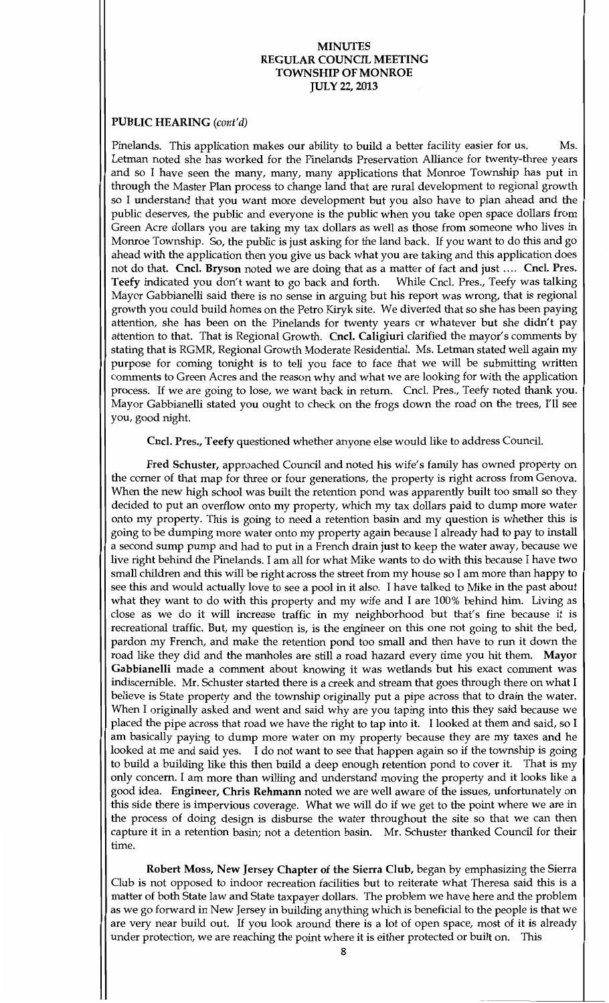### PUBLIC HEARING (cont'd)

Pinelands. This application makes our ability to build a better facility easier for us. Ms. Letman noted she has worked for the Pinelands Preservation Alliance for twenty three years and so I have seen the many, many, many applications that Monroe Township has put in through the Master Plan process to change land that are rural development to regional growth so Iunderstand that you want more development but you also have to plan ahead and the public deserves, the public and everyone is the public when you take open space dollars from Green Acre dollars you are taking my tax dollars as well as those from someone who lives in Monroe Township. So, the public is just asking for the land back. If you want to do this and go ahead with the application then you give us back what you are taking and this application does not do that. Cncl. Bryson noted we are doing that as a matter of fact and just .... Cncl. Pres. Teefy indicated you don't want to go back and forth. While Cncl. Pres., Teefy was talking Mayor Gabbianelli said there is no sense in arguing but his report was wrong, that is regional growth you could build homes on the Petro Kiryk site. We diverted that so she has been paying attention, she has been on the Pinelands for twenty years or whatever but she didn't pay attention, she has been on the Pinelands for twenty years or whatever but she didn't pay attention to that. That is Regional Growth. Cncl. Caligiuri clarified the mayor's comments by stating that is RGMR, Regional Growth Moderate Residential. Ms. Letman stated well again my purpose for coming tonight is to tell you face to face that we will be submitting written comments to Green Acres and the reason why and what we are looking for with the application process. If we are going to lose, we want back in return. Cncl. Pres., Teefy noted thank you. Mayor Gabbianelli stated you ought to check on the frogs down the road on the trees, I'll see you, good night.

Cncl. Pres., Teefy questioned whether anyone else would like to address Council.

Fred Schuster, approached Council and noted his wife's family has owned property on the corner of that map for three or four generations, the property is right across from Genova. When the new high school was built the retention pond was apparently built too small so they decided to put an overflow onto my property, which my tax dollars paid to dump more water onto my property. This is going to need a retention basin and my question is whether this is going to be dumping more water onto my property again because I already had to pay to install going to be dumping more water onto my property again because I already had to pay to install a second sump pump and had to put in a French drain just to keep the water away, because we live right behind the Pinelands. I am all for what Mike wants to do with this because I have two small children and this will be right across the street from my house so Iammore than happy to see this and would actually love to see a pool in it also. I have talked to Mike in the past about what they want to do with this property and my wife and I are 100% behind him. Living as close as we do it will increase traffic in my neighborhood but that's fine because it is recreational traffic. But, my question is, is the engineer on this one not going to shit the bed, pardon my French, and make the retention pond too small and then have to run it down the road like they did and the manholes are still a road hazard every time you hit them. Mayor Gabbianelli made a comment about knowing it was wetlands but his exact comment was indiscernible. Mr. Schuster started there is a creek and stream that goes through there on what I believe is State property and the township originally put a pipe across that to drain the water. When I originally asked and went and said why are you taping into this they said because we placed the pipe across that road we have the right to tap into it. I looked at them and said, so I ambasically paying to dump more water on my property because they are my taxes and he looked at me and said yes. I do not want to see that happen again so if the township is going to build a building like this then build a deep enough retention pond to cover it. That is my only concern. I am more than willing and understand moving the property and it looks like a good idea. Engineer, Chris Rehmann noted we are well aware of the issues, unfortunately on this side there is impervious coverage. What we will do if we get to the point where we are in the process of doing design is disburse the water throughout the site so that we can then capture it in a retention basin; not a detention basin. Mr. Schuster thanked Council for their time

Robert Moss, New Jersey Chapter of the Sierra Club, began by emphasizing the Sierra Club is not opposed to indoor recreation facilities but to reiterate what Theresa said this is a matter of both State law and State taxpayer dollars. The problem we have here and the problem as we go forward in New Jersey in building anything which is beneficial to the people is that we are very near build out. If you look around there is a lot of open space, most of it is already under protection, we are reaching the point where it is either protected or built on. This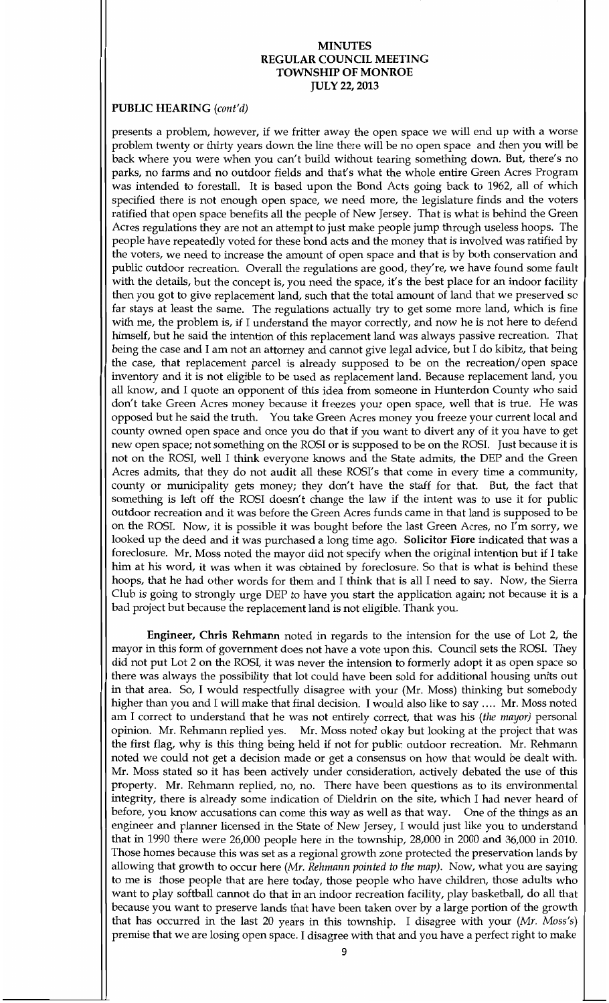### PUBLIC HEARING (cont'd)

presents a problem, however, if we fritter away the open space we will end up with a worse problem twenty or thirty years down the line there will be no open space and then you will be back where you were when you can't build without tearing something down. But, there's no parks, no farms and no outdoor fields and that's what the whole entire Green Acres Program was intended to forestall. It is based upon the Bond Acts going back to 1962, all of which specified there is not enough open space, we need more, the legislature finds and the voters ratified that open space benefits all the people of New Jersey. That is what is behind the Green Acres regulations they are not an attempt to just make people jump through useless hoops. The people have repeatedly voted for these bond acts and the money that is involved was ratified by the voters, we need to increase the amount of open space and that is by both conservation and public outdoor recreation. Overall the regulations are good, they're, we have found some fault with the details, but the concept is, you need the space, it's the best place for an indoor facility then you got to give replacement land, such that the total amount of land that we preserved so far stays at least the same. The regulations actually try to get some more land, which is fine with me, the problem is, if I understand the mayor correctly, and now he is not here to defend himself, but he said the intention of this replacement land was always passive recreation. That being the case and I am not an attorney and cannot give legal advice, but I do kibitz, that being the case, that replacement parcel is already supposed to be on the recreation/open space inventory and it is not eligible to be used as replacement land. Because replacement land, you all know, and I quote an opponent of this idea from someone in Hunterdon County who said don't take Green Acres money because it freezes your open space, well that is true. He was opposed but he said the truth. You take Green Acres money you freeze your current local and county owned open space and once you do that if you want to divert any of it you have to get new open space; not something on the ROSI or is supposed to be on the ROSI. Just because it is not on the ROSI, well I think everyone knows and the State admits, the DEP and the Green Acres admits, that they do not audit all these ROSI's that come in every time a community, county or municipality gets money; they don't have the staff for that. But, the fact that something is left off the ROSI doesn't change the law if the intent was to use it for public outdoor recreation and it was before the Green Acres funds came in that land is supposed to be on the ROSI. Now, it is possible it was bought before the last Green Acres, no I'm sorry, we looked up the deed and it was purchased a long time ago. Solicitor Fiore indicated that was a foreclosure. Mr. Moss noted the mayor did not specify when the original intention but if I take him at his word, it was when it was obtained by foreclosure. So that is what is behind these hoops, that he had other words for them and I think that is all I need to say. Now, the Sierra Club is going to strongly urge DEP to have you start the application again; not because it is a bad project but because the replacement land is not eligible. Thank you.

Engineer, Chris Rehmann noted in regards to the intension for the use of Lot 2, the mayor in this form of government does not have a vote upon this. Council sets the ROSI. They did not put Lot 2 on the ROSI, it was never the intension to formerly adopt it as open space so there was always the possibility that lot could have been sold for additional housing units out in that area. So, I would respectfully disagree with your (Mr. Moss) thinking but somebody higher than you and I will make that final decision. I would also like to say .... Mr. Moss noted am I correct to understand that he was not entirely correct, that was his (the mayor) personal opinion. Mr. Rehmann replied yes. Mr. Moss noted okay but looking at the project that was the first flag, why is this thing being held if not for public outdoor recreation. Mr. Rehmann noted we could not get a decision made or get a consensus on how that would be dealt with Mr. Moss stated so it has been actively under consideration, actively debated the use of this property. Mr. Rehmann replied, no, no. There have been questions as to its environmental integrity, there is already some indication of Dieldrin on the site, which I had never heard of before, you know accusations can come this way as well as that way. One of the things as an engineer and planner licensed in the State of New Jersey, I would just like you to understand that in 1990 there were  $26,000$  people here in the township,  $28,000$  in  $2000$  and  $36,000$  in  $2010$ . Those homes because this was set as a regional growth zone protected the preservation lands by allowing that growth to occur here (Mr. Rehmann pointed to the map). Now, what you are saying to me is those people that are here today, those people who have children, those adults who want to play softball cannot do that in an indoor recreation facility, play basketball, do all that because you want to preserve lands that have been taken over by a large portion of the growth that has occurred in the last 20 years in this township. I disagree with your ( $Mr.$  Moss's) premise that we are losing open space. I disagree with that and you have a perfect right to make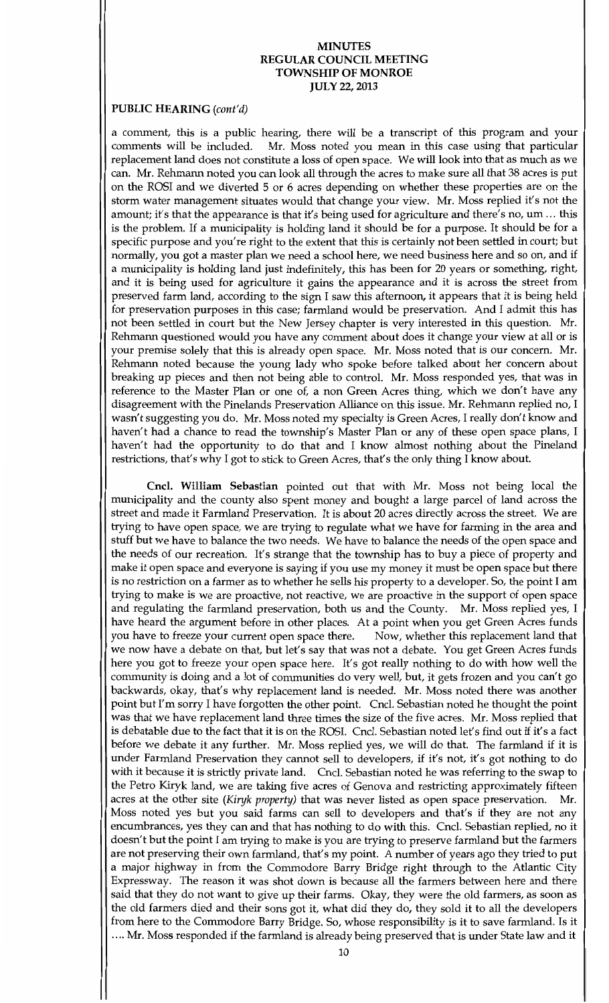## PUBLIC HEARING (cont'd)

a comment, this is a public hearing, there will be a transcript of this program and your comments will be included. Mr. Moss noted you mean in this case using that particular Mr. Moss noted you mean in this case using that particular replacement land does not constitute a loss of open space. We will look into that as much as we can. Mr. Rehmann noted you can look all through the acres to make sure all that 38 acres is put on the ROSI and we diverted <sup>5</sup> or <sup>6</sup> acres depending on whether these properties are on the storm water management situates would that change your view. Mr. Moss replied it's not the amount; it's that the appearance is that it's being used for agriculture and there's no, um ... this is the problem. If a municipality is holding land it should be for a purpose. It should be for a specific purpose and you're right to the extent that this is certainly not been settled in court; but normally, you got a master plan we need a school here, we need business here and so on, and if a municipality is holding land just indefinitely, this has been for 20 years or something, right, and it is being used for agriculture it gains the appearance and it is across the street from preserved farm land, according to the sign I saw this afternoon, it appears that it is being held for preservation purposes in this case; farmland would be preservation. And I admit this has not been settled in court but the New Jersey chapter is very interested in this question. Mr. Rehmann questioned would you have any comment about does it change your view at all or is your premise solely that this is already open space. Mr. Moss noted that is our concern. Mr. Rehmann noted because the young lady who spoke before talked about her concern about breaking up pieces and then not being able to control. Mr. Moss responded yes, that was in reference to the Master Plan or one of, a non Green Acres thing, which we don't have any disagreement with the Pinelands Preservation Alliance on this issue. Mr. Rehmann replied no, I disagreement with the 1 metanus I reservation Amarice on this issue. Mr. Remitatif replied not t<br>wasn't suggesting you do. Mr. Moss noted my specialty is Green Acres, I really don't know and haven't had a chance to read the township's Master Plan or any of these open space plans, I haven't had the opportunity to do that and I know almost nothing about the Pineland restrictions, that's why I got to stick to Green Acres, that's the only thing I know about.

Cncl. William Sebastian pointed out that with Mr. Moss not being local the municipality and the county also spent money and bought a large parcel of land across the street and made it Farmland Preservation. It is about 20 acres directly across the street. We are trying to have open space, we are trying to regulate what we have for farming in the area and stuff but we have to balance the two needs. We have to balance the needs of the open space and the needs of our recreation. It's strange that the township has to buy a piece of property and make it open space and everyone is saying if you use my money it must be open space but there is no restriction on a farmer as to whether he sells his property to a developer. So, the point I am trying to make is we are proactive not reactive we are proactive in the support of open space and regulating the farmland preservation, both us and the County. Mr. Moss replied yes, I have heard the argument before in other places. At a point when you get Green Acres funds<br>you have to freeze your current open space there. Now, whether this replacement land that you have to freeze your current open space there. we now have a debate on that, but let's say that was not a debate. You get Green Acres funds here you got to freeze your open space here. It's got really nothing to do with how well the community is doing and a lot of communities do very well, but, it gets frozen and you can't go backwards, okay, that's why replacement land is needed. Mr. Moss noted there was another point but I'm sorry I have forgotten the other point. Cncl. Sebastian noted he thought the point was that we have replacement land three times the size of the five acres. Mr. Moss replied that is debatable due to the fact that it is on the ROSI. Cncl. Sebastian noted let's find out if it's a fact before we debate it any further. Mr. Moss replied yes, we will do that. The farmland if it is under Farmland Preservation they cannot sell to developers, if it's not, it's got nothing to do with it because it is strictly private land. Cncl. Sebastian noted he was referring to the swap to the Petro Kiryk land, we are taking five acres of Genova and restricting approximately fifteen<br>acres at the other site (Kiryk property) that was never listed as open space preservation. Mr. acres at the other site (Kiryk property) that was never listed as open space preservation. Moss noted yes but you said farms can sell to developers and that's if they are not any encumbrances, yes they can and that has nothing to do with this. Cncl. Sebastian replied, no it doesn't but the point I am trying to make is you are trying to preserve farmland but the farmers are not preserving their own farmland, that's my point. A number of years ago they tried to put a major highway in from the Commodore Barry Bridge right through to the Atlantic City Expressway. The reason it was shot down is because all the farmers between here and there said that they do not want to give up their farms. Okay, they were the old farmers, as soon as the old farmers died and their sons got it, what did they do, they sold it to all the developers from here to the Commodore Barry Bridge. So, whose responsibility is it to save farmland. Is it .... Mr. Moss responded if the farmland is already being preserved that is under State law and it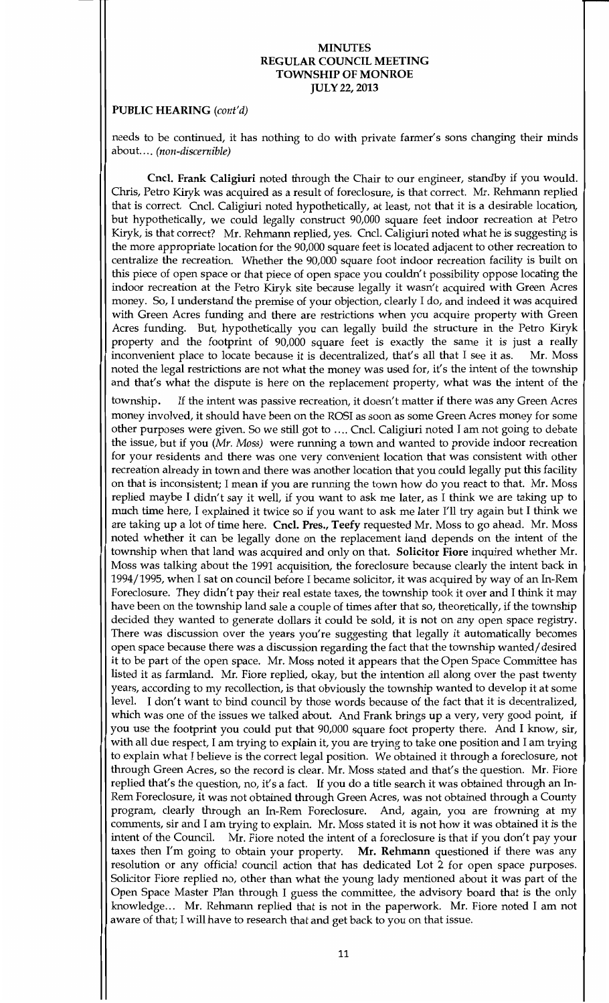#### PUBLIC HEARING (cont'd)

needs to be continued, it has nothing to do with private farmer's sons changing their minds about.... (non-discernible)

Cncl. Frank Caligiuri noted through the Chair to our engineer, standby if you would. Chris, Petro Kiryk was acquired as a result of foreclosure, is that correct. Mr. Rehmann replied that is correct. Cncl. Caligiuri noted hypothetically, at least, not that it is a desirable location, but hypothetically, we could legally construct 90,000 square feet indoor recreation at Petro Kiryk, is that correct? Mr. Rehmann replied, yes. Cncl. Caligiuri noted what he is suggesting is the more appropriate location for the 90,000 square feet is located adjacent to other recreation to centralize the recreation. Whether the 90,000 square foot indoor recreation facility is built on this piece of open space or that piece of open space you couldn t possibility oppose locating the indoor recreation at the Petro Kiryk site because legally it wasn't acquired with Green Acres money. So, I understand the premise of your objection, clearly I do, and indeed it was acquired with Green Acres funding and there are restrictions when you acquire property with Green Acres funding. But, hypothetically you can legally build the structure in the Petro Kiryk property and the footprint of 90,000 square feet is exactly the same it is just a really inconvenient place to locate because it is decentralized, that's all that I see it as. Mr. Moss inconvenient place to locate because it is decentralized, that's all that I see it as. noted the legal restrictions are not what the money was used for, it's the intent of the township and that's what the dispute is here on the replacement property, what was the intent of the

township. If the intent was passive recreation, it doesn't matter if there was any Green Acres money involved, it should have been on the ROSI as soon as some Green Acres money for some other purposes were given. So we still got to .... Cncl. Caligiuri noted I am not going to debate the issue, but if you ( $Mr.$  Moss) were running a town and wanted to provide indoor recreation for your residents and there was one very convenient location that was consistent with other recreation already in town and there was another location that you could legally put this facility on that is inconsistent; I mean if you are running the town how do you react to that. Mr. Moss of that is inconsistent, I heart if you are funtiling the town how do you react to that. This moss<br>replied maybe I didn't say it well, if you want to ask me later, as I think we are taking up to rephed maybe I didn't say it wen, if you want to ask me later, as I dilik we are taking up to much time here, I explained it twice so if you want to ask me later I'll try again but I think we are taking up a lot of time here. Cncl. Pres., Teefy requested Mr. Moss to go ahead. Mr. Moss noted whether it can be legally done on the replacement land depends on the intent of the township when that land was acquired and only on that. Solicitor Fiore inquired whether Mr. Moss was talking about the 1991 acquisition, the foreclosure because clearly the intent back in 1994/1995, when I sat on council before I became solicitor, it was acquired by way of an In-Rem Foreclosure. They didn't pay their real estate taxes, the township took it over and I think it may have been on the township land sale a couple of times after that so, theoretically, if the township decided they wanted to generate dollars it could be sold, it is not on any open space registry. There was discussion over the years you're suggesting that legally it automatically becomes open space because there was a discussion regarding the fact that the township wanted/desired it to be part of the open space. Mr. Moss noted it appears that the Open Space Committee has listed it as farmland. Mr. Fiore replied, okay, but the intention all along over the past twenty years, according to my recollection, is that obviously the township wanted to develop it at some level. I don't want to bind council by those words because of the fact that it is decentralized, which was one of the issues we talked about. And Frank brings up a very, very good point, if you use the footprint you could put that 90,000 square foot property there. And I know, sir, with all due respect, I am trying to explain it, you are trying to take one position and I am trying to explain what I believe is the correct legal position. We obtained it through a foreclosure, not through Green Acres, so the record is clear. Mr. Moss stated and that's the question. Mr. Fiore replied that's the question, no, it's a fact. If you do a title search it was obtained through an In-Rem Foreclosure, it was not obtained through Green Acres, was not obtained through a County program, clearly through an In-Rem Foreclosure. And, again, you are frowning at my comments, sir and I am trying to explain. Mr. Moss stated it is not how it was obtained it is the intent of the Council. Mr. Fiore noted the intent of a foreclosure is that if you don't pay your taxes then I'm going to obtain your property. Mr. Rehmann questioned if there was any resolution or any official council action that has dedicated Lot 2 for open space purposes Solicitor Fiore replied no, other than what the young lady mentioned about it was part of the Open Space Master Plan through I guess the committee, the advisory board that is the only knowledge... Mr. Rehmann replied that is not in the paperwork. Mr. Fiore noted I am not aware of that; I will have to research that and get back to you on that issue.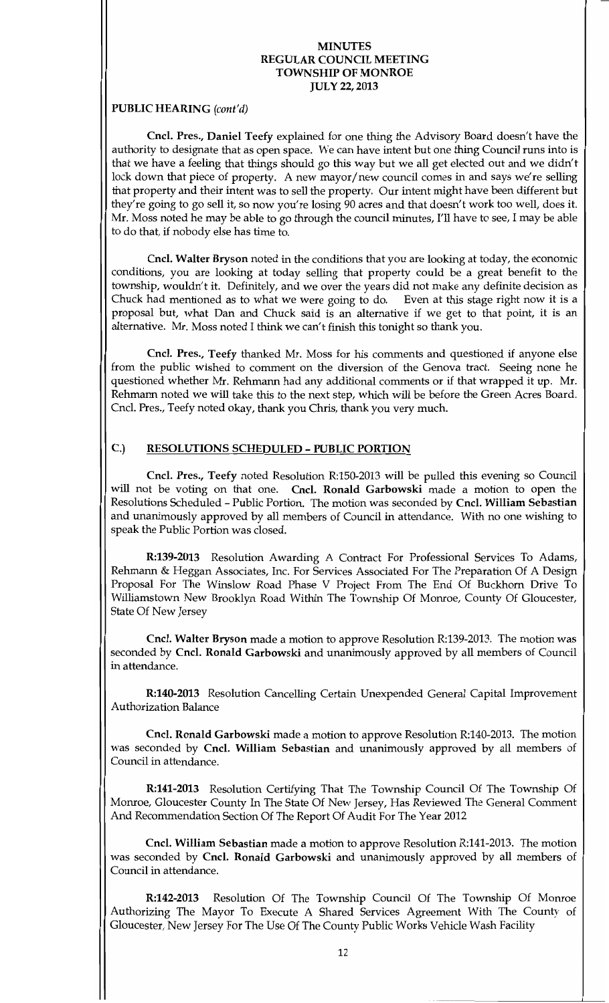## PUBLIC HEARING (cont'd)

Cncl. Pres., Daniel Teefy explained for one thing the Advisory Board doesn't have the authority to designate that as open space. We can have intent but one thing Council runs into is that we have a feeling that things should go this way but we all get elected out and we didn't lock down that piece of property. A new mayor/new council comes in and says we're selling that property and their intent was to sell the property. Our intent might have been different but they're going to go sell it, so now you're losing 90 acres and that doesn't work too well, does it. drey re going to go sen it, so now you re iosing 50 acres and that doesn't work too wen, does it.<br>Mr. Moss noted he may be able to go through the council minutes, I'll have to see, I may be able to do that, if nobody else has time to.

Cncl. Walter Bryson noted in the conditions that you are looking at today, the economic conditions, you are looking at today selling that property could be a great benefit to the township, wouldn't it. Definitely, and we over the years did not make any definite decision as Chuck had mentioned as to what we were going to do. Even at this stage right now it is a proposal but, what Dan and Chuck said is an alternative if we get to that point, it is an alternative. Mr. Moss noted I think we can't finish this tonight so thank you.

Cncl. Pres., Teefy thanked Mr. Moss for his comments and questioned if anyone else from the public wished to comment on the diversion of the Genova tract. Seeing none he questioned whether Mr. Rehmann had any additional comments or if that wrapped it up. Mr. Rehmann noted we will take this to the next step, which will be before the Green Acres Board. Cncl. Pres., Teefy noted okay, thank you Chris, thank you very much.

# C.) RESOLUTIONS SCHEDULED - PUBLIC PORTION

Cncl. Pres., Teefy noted Resolution R:150-2013 will be pulled this evening so Council will not be voting on that one. Cncl. Ronald Garbowski made a motion to open the Resolutions Scheduled - Public Portion. The motion was seconded by Cncl. William Sebastian and unanimously approved by all members of Council in attendance. With no one wishing to speak the Public Portion was closed

R:139-2013 Resolution Awarding A Contract For Professional Services To Adams, Rehmann & Heggan Associates, Inc. For Services Associated For The Preparation Of A Design Proposal For The Winslow Road Phase V Project From The End Of Buckhorn Drive To Williamstown New Brooklyn Road Within The Township Of Monroe, County Of Gloucester, State Of New Jersey

Cncl. Walter Bryson made a motion to approve Resolution R:139-2013. The motion was seconded by Cncl. Ronald Garbowski and unanimously approved by all members of Council in attendance

R:140-2013 Resolution Cancelling Certain Unexpended General Capital Improvement Authorization Balance

Cncl. Ronald Garbowski made a motion to approve Resolution R:140-2013. The motion was seconded by Cncl. William Sebastian and unanimously approved by all members of Council in attendance

R:141-2013 Resolution Certifying That The Township Council Of The Township Of Monroe, Gloucester County In The State Of New Jersey, Has Reviewed The General Comment And Recommendation Section Of The Report Of Audit For The Year <sup>2012</sup>

Cncl. William Sebastian made a motion to approve Resolution R:141-2013. The motion was seconded by Cncl. Ronald Garbowski and unanimously approved by all members of Council in attendance

R:142-2013 Resolution Of The Township Council Of The Township Of Monroe Authorizing The Mayor To Execute A Shared Services Agreement With The County of Gloucester, New Jersey For The Use Of The County Public Works Vehicle Wash Facility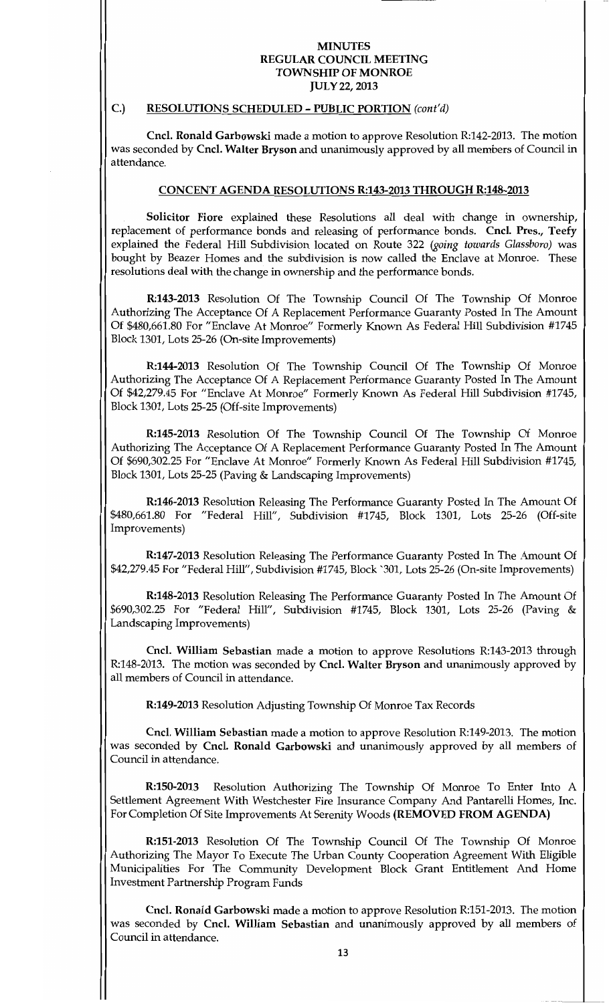#### C.) RESOLUTIONS SCHEDULED - PUBLIC PORTION (cont'd)

Cncl. Ronald Garbowski made a motion to approve Resolution R:142-2013. The motion was seconded by Cncl. Walter Bryson and unanimously approved by all members of Council in attendance

## CONCENT AGENDA RESOLUTIONS R:143-2013 THROUGH R:148-2013

Solicitor Fiore explained these Resolutions all deal with change in ownership, replacement of performance bonds and releasing of performance bonds. Cncl. Pres., Teefy explained the Federal Hill Subdivision located on Route 322 (going towards Glassboro) was bought by Beazer Homes and the subdivision is now called the Enclave at Monroe. These resolutions deal with the change in ownership and the performance bonds

R:143-2013 Resolution Of The Township Council Of The Township Of Monroe Authorizing The Acceptance Of A Replacement Performance Guaranty Posted In The Amount Of \$480,661.80 For "Enclave At Monroe" Formerly Known As Federal Hill Subdivision #1745 Block 1301, Lots 25-26 (On-site Improvements)

R:144-2013 Resolution Of The Township Council Of The Township Of Monroe Authorizing The Acceptance Of A Replacement Performance Guaranty Posted In The Amount Of \$42,279.45 For "Enclave At Monroe" Formerly Known As Federal Hill Subdivision #1745, Block 1301, Lots 25-25 (Off-site Improvements)

R:145-2013 Resolution Of The Township Council Of The Township Of Monroe Authorizing The Acceptance Of A Replacement Performance Guaranty Posted In The Amount Of \$690,302.25 For "Enclave At Monroe" Formerly Known As Federal Hill Subdivision #1745, Block 1301, Lots 25-25 (Paving & Landscaping Improvements)

R:146-2013 Resolution Releasing The Performance Guaranty Posted In The Amount Of \$480,661.80 For "Federal Hill", Subdivision #1745, Block 1301, Lots 25-26 (Off-site Improvements

R:147-2013 Resolution Releasing The Performance Guaranty Posted In The Amount Of \$42,279.45 For "Federal Hill", Subdivision #1745, Block `301, Lots 25-26 (On-site Improvements)

R:148-2013 Resolution Releasing The Performance Guaranty Posted In The Amount Of \$690,302.25 For "Federal Hill", Subdivision #1745, Block 1301, Lots 25-26 (Paving & Landscaping Improvements

Cncl. William Sebastian made a motion to approve Resolutions R:143-2013 through R:148-2013. The motion was seconded by Cncl. Walter Bryson and unanimously approved by all members of Council in attendance

R:149-2013 Resolution Adjusting Township Of Monroe Tax Records

Cncl. William Sebastian made a motion to approve Resolution R:149-2013. The motion was seconded by Cncl. Ronald Garbowski and unanimously approved by all members of Council in attendance

R:150-2013 Resolution Authorizing The Township Of Monroe To Enter Into A Settlement Agreement With Westchester Fire Insurance Company And Pantarelli Homes, Inc. For Completion Of Site Improvements At Serenity Woods (REMOVED FROM AGENDA)

R:151-2013 Resolution Of The Township Council Of The Township Of Monroe Authorizing The Mayor To Execute The Urban County Cooperation Agreement With Eligible Municipalities For The Community Development Block Grant Entitlement And Home Investment Partnership Program Funds

Cncl. Ronald Garbowski made a motion to approve Resolution R:151-2013. The motion was seconded by Cncl. William Sebastian and unanimously approved by all members of Council in attendance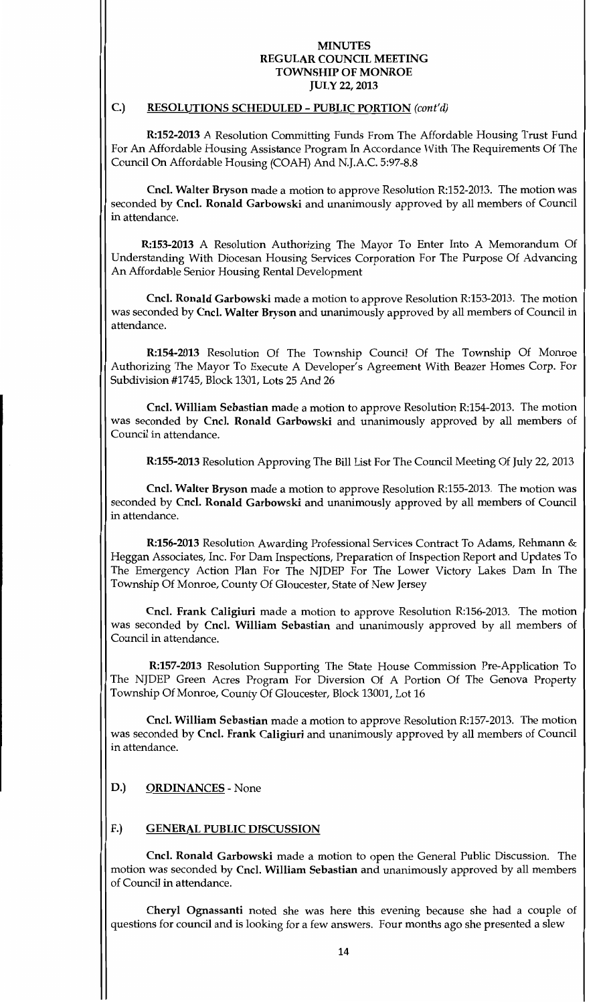### $C$ .) RESOLUTIONS SCHEDULED - PUBLIC PORTION (cont'd)

R:152-2013 A Resolution Committing Funds From The Affordable Housing Trust Fund For An Affordable Housing Assistance Program In Accordance With The Requirements Of The Council On Affordable Housing (COAH) And N.J.A.C. 5:97-8.8

Cncl. Walter Bryson made a motion to approve Resolution R:152-2013. The motion was seconded by Cncl. Ronald Garbowski and unanimously approved by all members of Council in attendance

R:153-2013 A Resolution Authorizing The Mayor To Enter Into A Memorandum Of Understanding With Diocesan Housing Services Corporation For The Purpose Of Advancing An Affordable Senior Housing Rental Development

Cncl. Ronald Garbowski made a motion to approve Resolution R:153-2013. The motion was seconded by Cncl. Walter Bryson and unanimously approved by all members of Council in attendance

R:154-2013 Resolution Of The Township Council Of The Township Of Monroe Authorizing The Mayor To Execute A Developer's Agreement With Beazer Homes Corp. For Subdivision #1745, Block 1301, Lots 25 And 26

Cncl. William Sebastian made a motion to approve Resolution R:154-2013. The motion was seconded by Cncl. Ronald Garbowski and unanimously approved by all members of Council in attendance

R:155-2013 Resolution Approving The Bill List For The Council Meeting Of July 22, 2013

Cncl. Walter Bryson made a motion to approve Resolution R:155-2013. The motion was seconded by Cncl. Ronald Garbowski and unanimously approved by all members of Council in attendance

R:156-2013 Resolution Awarding Professional Services Contract To Adams, Rehmann & Heggan Associates, Inc. For Dam Inspections, Preparation of Inspection Report and Updates To The Emergency Action Plan For The NJDEP For The Lower Victory Lakes Dam In The Township Of Monroe, County Of Gloucester, State of New Jersey

Cncl. Frank Caligiuri made a motion to approve Resolution R:156-2013. The motion was seconded by Cncl. William Sebastian and unanimously approved by all members of Council in attendance

R:157-2013 Resolution Supporting The State House Commission Pre-Application To The NJDEP Green Acres Program For Diversion Of A Portion Of The Genova Property Township Of Monroe, County Of Gloucester, Block 13001, Lot 16

Cncl. William Sebastian made a motion to approve Resolution R:157-2013. The motion was seconded by Cncl. Frank Caligiuri and unanimously approved by all members of Council in attendance

# D.) ORDINANCES - None

## F.) GENERAL PUBLIC DISCUSSION

Cncl. Ronald Garbowski made a motion to open the General Public Discussion. The motion was seconded by Cncl. William Sebastian and unanimously approved by all members of Council in attendance

Cheryl Ognassanti noted she was here this evening because she had a couple of questions for council and is looking for a few answers. Four months ago she presented a slew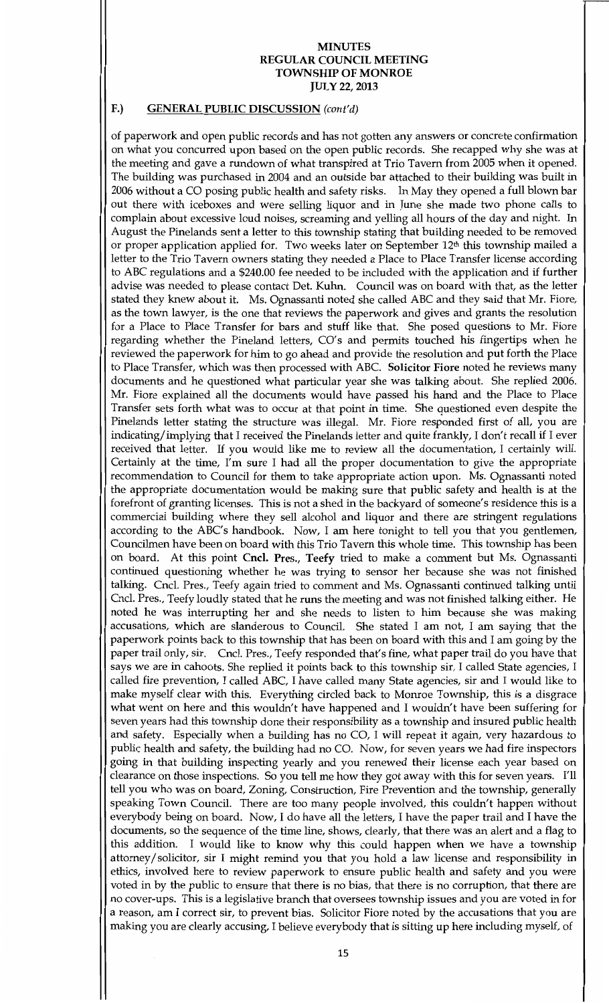### F.) GENERAL PUBLIC DISCUSSION (cont'd)

of paperwork and open public records and has not gotten any answers or concrete confirmation on what you concurred upon based on the open public records. She recapped why she was at the meeting and gave a rundown of what transpired at Trio Tavern from 2005 when it opened. The building was purchased in 2004 and an outside bar attached to their building was built in 2006 without a CO posing public health and safety risks. In May they opened a full blown bar out there with iceboxes and were selling liquor and in June she made two phone calls to complain about excessive loud noises, screaming and yelling all hours of the day and night. In August the Pinelands sent a letter to this township stating that building needed to be removed or proper application applied for. Two weeks later on September 12<sup>th</sup> this township mailed a letter to the Trio Tavern owners stating they needed a Place to Place Transfer license according to ABC regulations and a \$240.00 fee needed to be included with the application and if further advise was needed to please contact Det. Kuhn. Council was on board with that, as the letter stated they knew about it. Ms. Ognassanti noted she called ABC and they said that Mr. Fiore, as the town lawyer, is the one that reviews the paperwork and gives and grants the resolution for a Place to Place Transfer for bars and stuff like that. She posed questions to Mr. Fiore regarding whether the Pineland letters, CO's and permits touched his fingertips when he reviewed the paperwork for him to go ahead and provide the resolution and put forth the Place to Place Transfer, which was then processed with ABC. Solicitor Fiore noted he reviews many documents and he questioned what particular year she was talking about. She replied 2006. Mr Fiore explained all the documents would have passed his hand and the Place to Place Transfer sets forth what was to occur at that point in time. She questioned even despite the Pinelands letter stating the structure was illegal. Mr. Fiore responded first of all, you are indicating/implying that I received the Pinelands letter and quite frankly, I don't recall if I ever received that letter. If you would like me to review all the documentation, I certainly will Certainly at the time, I'm sure I had all the proper documentation to give the appropriate recommendation to Council for them to take appropriate action upon. Ms. Ognassanti noted the appropriate documentation would be making sure that public safety and health is at the forefront of granting licenses. This is not a shed in the backyard of someone's residence this is a commercial building where they sell alcohol and liquor and there are stringent regulations according to the ABC's handbook. Now, I am here tonight to tell you that you gentlemen, Councilmen have been on board with this Trio Tavern this whole time. This township has been on board. At this point Cncl. Pres., Teefy tried to make a comment but Ms. Ognassanti continued questioning whether he was trying to sensor her because she was not finished talking. Cncl. Pres., Teefy again tried to comment and Ms. Ognassanti continued talking until Cncl. Pres., Teefy loudly stated that he runs the meeting and was not finished talking either. He noted he was interrupting her and she needs to listen to him because she was making accusations, which are slanderous to Council. She stated I am not, I am saying that the paperwork points back to this township that has been on board with this and Iamgoing by the paper trail only, sir. Cncl. Pres., Teefy responded that's fine, what paper trail do you have that says we are in cahoots. She replied it points back to this township sir, I called State agencies, I called fire prevention, I called ABC, I have called many State agencies, sir and I would like to make myself clear with this. Everything circled back to Monroe Township, this is a disgrace what went on here and this wouldn't have happened and I wouldn't have been suffering for seven years had this township done their responsibility as a township and insured public health and safety. Especially when a building has no CO, I will repeat it again, very hazardous to public health and safety, the building had no CO. Now, for seven years we had fire inspectors going in that building inspecting yearly and you renewed their license each year based on clearance on those inspections. So you tell me how they got away with this for seven years. I'll tell you who was on board, Zoning, Construction, Fire Prevention and the township, generally speaking Town Council. There are too many people involved, this couldn't happen without everybody being on board. Now, I do have all the letters, I have the paper trail and I have the documents, so the sequence of the time line, shows, clearly, that there was an alert and a flag to this addition. I would like to know why this could happen when we have a township attorney/solicitor, sir I might remind you that you hold a law license and responsibility in ethics, involved here to review paperwork to ensure public health and safety and you were voted in by the public to ensure that there is no bias, that there is no corruption, that there are no cover-ups. This is a legislative branch that oversees township issues and you are voted in for a reason, am I correct sir, to prevent bias. Solicitor Fiore noted by the accusations that you are making you are clearly accusing, I believe everybody that is sitting up here including myself, of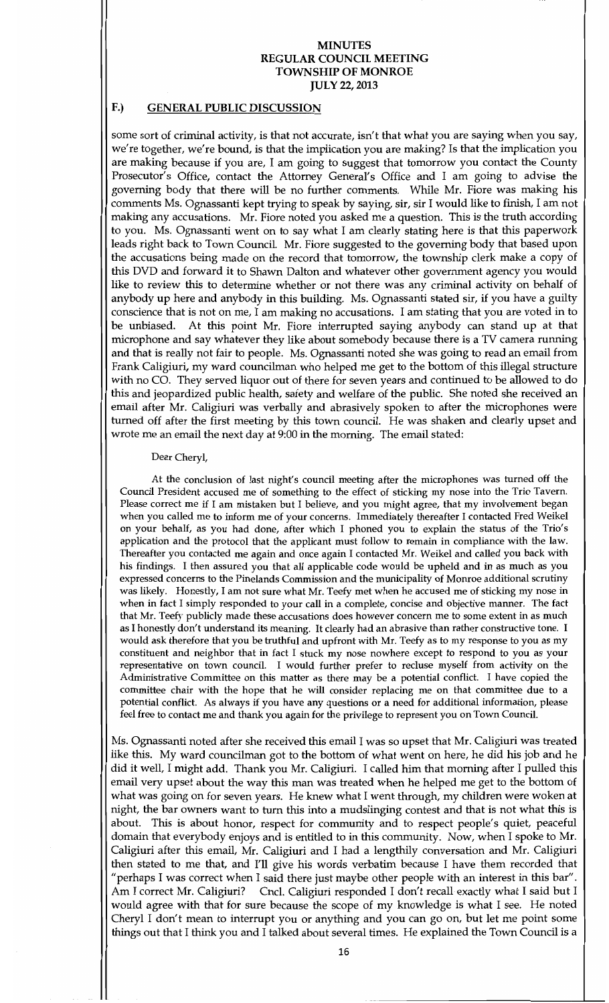#### F.) GENERAL PUBLIC DISCUSSION

some sort of criminal activity, is that not accurate, isn't that what you are saying when you say, we're together, we're bound, is that the implication you are making? Is that the implication you are making because if you are, I am going to suggest that tomorrow you contact the County Prosecutor's Office, contact the Attorney General's Office and I am going to advise the governing body that there will be no further comments. While Mr. Fiore was making his comments Ms. Ognassanti kept trying to speak by saying, sir, sir I would like to finish, I am not making any accusations. Mr. Fiore noted you asked me a question. This is the truth according to you. Ms. Ognassanti went on to say what I am clearly stating here is that this paperwork leads right back to Town Council. Mr. Fiore suggested to the governing body that based upon the accusations being made on the record that tomorrow, the township clerk make a copy of this DVD and forward it to Shawn Dalton and whatever other government agency you would like to review this to determine whether or not there was any criminal activity on behalf of anybody up here and anybody in this building. Ms. Ognassanti stated sir, if you have a guilty conscience that is not on me, I am making no accusations. I am stating that you are voted in to be unbiased. At this point Mr. Fiore interrupted saying anybody can stand up at that microphone and say whatever they like about somebody because there is a TV camera running and that is really not fair to people. Ms. Ognassanti noted she was going to read an email from Frank Caligiuri, my ward councilman who helped me get to the bottom of this illegal structure with no CO. They served liquor out of there for seven years and continued to be allowed to do this and jeopardized public health, safety and welfare of the public. She noted she received an email after Mr. Caligiuri was verbally and abrasively spoken to after the microphones were turned off after the first meeting by this town council. He was shaken and clearly upset and wrote me an email the next day at 9:00 in the morning. The email stated:

#### Dear Cheryl

At the conclusion of last night's council meeting after the microphones was turned off the Council President accused me of something to the effect of sticking my nose into the Trio Tavern Please correct me if I am mistaken but I believe, and you might agree, that my involvement began when you called me to inform me of your concerns. Immediately thereafter I contacted Fred Weikel on your behalf, as you had done, after which I phoned you to explain the status of the Trio's application and the protocol that the applicant must follow to remain in compliance with the law. Thereafter you contacted me again and once again I contacted Mr. Weikel and called you back with his findings. I then assured you that all applicable code would be upheld and in as much as you expressed concerns to the Pinelands Commission and the municipality of Monroe additional scrutiny was likely. Honestly, I am not sure what Mr. Teefy met when he accused me of sticking my nose in when in fact I simply responded to your call in a complete, concise and objective manner. The fact that Mr. Teefy publicly made these accusations does however concern me to some extent in as much as I honestly don't understand its meaning. It clearly had an abrasive than rather constructive tone. I would ask therefore that you be truthful and upfront with Mr Teefy as to my response to you as my constituent and neighbor that in fact I stuck my nose nowhere except to respond to you as your representative on town council I would further prefer to recluse myself from activity on the Administrative Committee on this matter as there may be a potential conflict. I have copied the committee chair with the hope that he will consider replacing me on that committee due to <sup>a</sup> potential conflict. As always if you have any questions or a need for additional information, please feel free to contact me and thank you again for the privilege to represent you on Town Council.

Ms. Ognassanti noted after she received this email I was so upset that Mr. Caligiuri was treated like this. My ward councilman got to the bottom of what went on here, he did his job and he did it well, I might add. Thank you Mr. Caligiuri. I called him that morning after I pulled this email very upset about the way this man was treated when he helped me get to the bottom of what was going on for seven years. He knew what I went through, my children were woken at night, the bar owners want to turn this into a mudslinging contest and that is not what this is about. This is about honor, respect for community and to respect people's quiet, peaceful domain that everybody enjoys and is entitled to in this community. Now, when I spoke to Mr.<br>Collisioni often this annual Mr. Gallain is and I had a hearthile concernation and Mr. Gallainei Caligiuri after this email, Mr. Caligiuri and I had a lengthily conversation and Mr. Caligiuri then stated to me that, and I'll give his words verbatim because I have them recorded that "perhaps I was correct when I said there just maybe other people with an interest in this bar". Am I correct Mr. Caligiuri? Cncl. Caligiuri responded I don't recall exactly what I said but I would agree with that for sure because the scope of my knowledge is what I see. He noted Cheryl I don't mean to interrupt you or anything and you can go on, but let me point some things out that I think you and I talked about several times. He explained the Town Council is a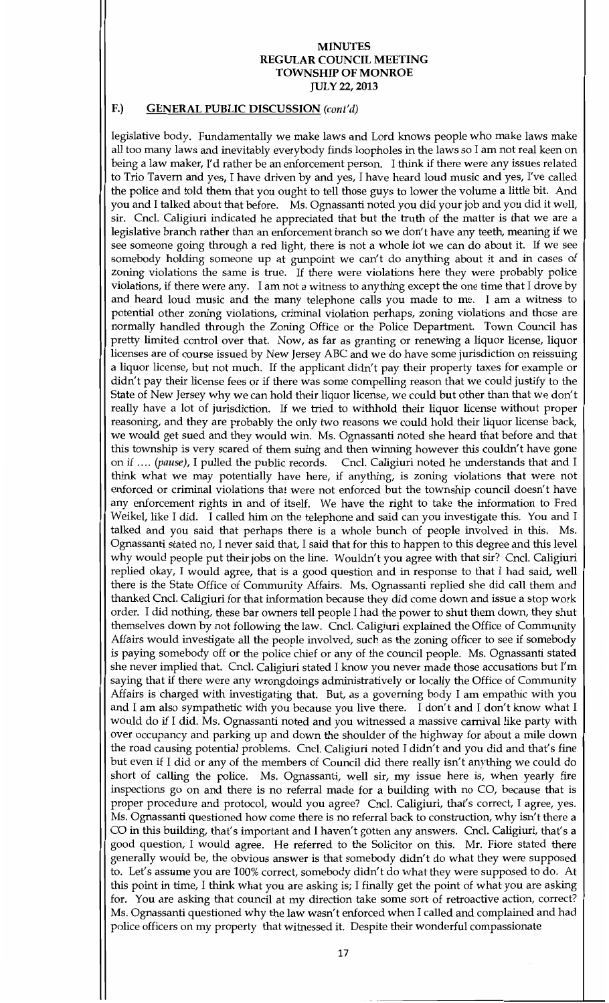# F.) GENERAL PUBLIC DISCUSSION (cont'd)

legislative body. Fundamentally we make laws and Lord knows people who make laws make all too many laws and inevitably everybody finds loopholes in the laws so <sup>I</sup> amnot real keen on being a law maker, I'd rather be an enforcement person. I think if there were any issues related to Trio Tavern and yes, I have driven by and yes, I have heard loud music and yes, I've called the police and told them that you ought to tell those guys to lower the volume a little bit. And you and I talked about that before. Ms. Ognassanti noted you did your job and you did it well, sir. Cncl. Caligiuri indicated he appreciated that but the truth of the matter is that we are a legislative branch rather than an enforcement branch so we don't have any teeth, meaning if we see someone going through a red light, there is not a whole lot we can do about it. If we see somebody holding someone up at gunpoint we can't do anything about it and in cases of zoning violations the same is true. If there were violations here they were probably police violations, if there were any. I am not a witness to anything except the one time that I drove by and heard loud music and the many telephone calls you made to me. I am a witness to potential other zoning violations, criminal violation perhaps, zoning violations and those are normally handled through the Zoning Office or the Police Department. Town Council has pretty limited control over that. Now, as far as granting or renewing a liquor license, liquor licenses are of course issued by New Jersey ABC and we do have some jurisdiction on reissuing a liquor license, but not much. If the applicant didn't pay their property taxes for example or didn't pay their license fees or if there was some compelling reason that we could justify to the State of New Jersey why we can hold their liquor license, we could but other than that we don't really have a lot of jurisdiction. If we tried to withhold their liquor license without proper reasoning, and they are probably the only two reasons we could hold their liquor license back, we would get sued and they would win. Ms. Ognassanti noted she heard that before and that this township is very scared of them suing and then winning however this couldn't have gone In the pulled the public records. Cncl. Caligiuri noted he understands that and I<br>on if .... (*pause*), I pulled the public records. Cncl. Caligiuri noted he understands that and I think what we may potentially have here, if anything, is zoning violations that were not enforced or criminal violations that were not enforced but the township council doesn't have any enforcement rights in and of itself. We have the right to take the information to Fred Weikel, like I did. I called him on the telephone and said can you investigate this. You and I talked and you said that perhaps there is a whole bunch of people involved in this. Ms. Ognassanti stated no, I never said that, I said that for this to happen to this degree and this level by would people put their jobs on the line. Wouldn't you agree with that sir? Cncl. Caligiuri replied okay, I would agree, that is a good question and in response to that I had said, well there is the State Office of Community Affairs. Ms. Ognassanti replied she did call them and thanked Cncl Caligiuri for that information because they did come down and issue a stop work order. I did nothing, these bar owners tell people I had the power to shut them down, they shut themselves down by not following the law. Cncl. Caligiuri explained the Office of Community Affairs would investigate all the people involved, such as the zoning officer to see if somebody is paying somebody off or the police chief or any of the council people. Ms. Ognassanti stated she never implied that. Cncl. Caligiuri stated I know you never made those accusations but I'm saying that if there were any wrongdoings administratively or locally the Office of Community Affairs is charged with investigating that. But, as a governing body I am empathic with you and I am also sympathetic with you because you live there. I don't and I don't know what I would do if I did. Ms. Ognassanti noted and you witnessed a massive carnival like party with over occupancy and parking up and down the shoulder of the highway for about amile down the road causing potential problems. Cncl. Caligiuri noted I didn't and you did and that's fine but even if I did or any of the members of Council did there really isn't anything we could do short of calling the police. Ms. Ognassanti, well sir, my issue here is, when yearly fire inspections go on and there is no referral made for a building with no CO, because that is proper procedure and protocol, would you agree? Cncl. Caligiuri, that's correct, I agree, yes. Ms. Ognassanti questioned how come there is no referral back to construction, why isn't there a Final expansion questioned now come there is no referred other to construction, why left there is no<br>CO in this building, that's important and I haven't gotten any answers. Cncl. Caligiuri, that's a good question, I would agree. He referred to the Solicitor on this. Mr. Fiore stated there generally would be, the obvious answer is that somebody didn't do what they were supposed to. Let's assume you are 100% correct, somebody didn't do what they were supposed to do. At this point in time, I think what you are asking is; I finally get the point of what you are asking for. You are asking that council at my direction take some sort of retroactive action, correct? Ms. Ognassanti questioned why the law wasn't enforced when I called and complained and had police officers on my property that witnessed it. Despite their wonderful compassionate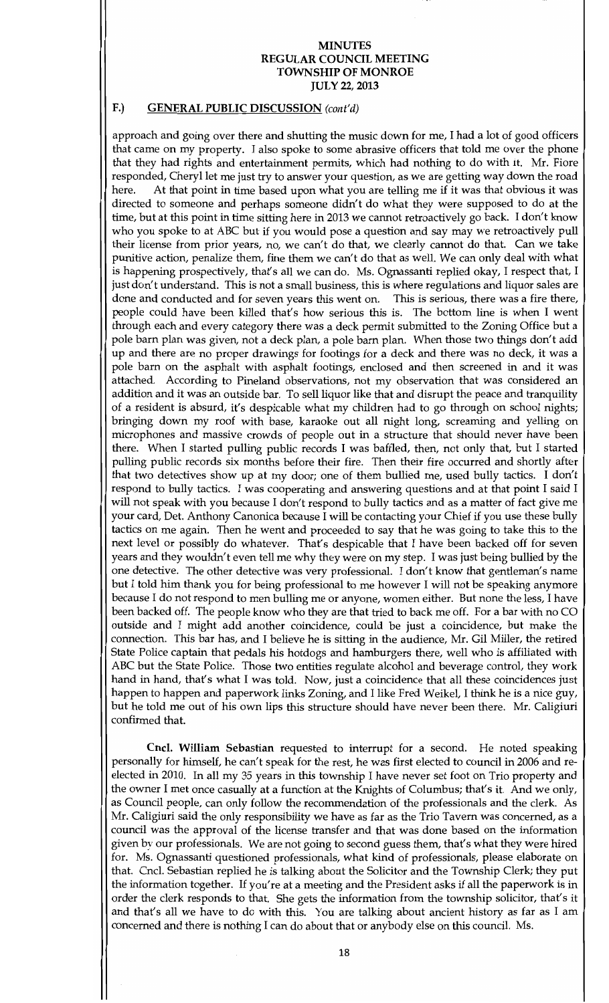## F.) GENERAL PUBLIC DISCUSSION (cont'd)

approach and going over there and shutting the music down for me, I had a lot of good officers that came on my property. I also spoke to some abrasive officers that told me over the phone that they had rights and entertainment permits, which had nothing to do with it. Mr. Fiore responded, Cheryl let me just try to answer your question, as we are getting way down the road<br>here. At that point in time based upon what you are telling me if it was that obvious it was At that point in time based upon what you are telling me if it was that obvious it was directed to someone and perhaps someone didn't do what they were supposed to do at the time, but at this point in time sitting here in 2013 we cannot retroactively go back. I don't know who you spoke to at ABC but if you would pose a question and say may we retroactively pull their license from prior years, no, we can't do that, we clearly cannot do that. Can we take punitive action, penalize them, fine them we can't do that as well. We can only deal with what pututive action, penalize them, fine them we can t do that as well. We can only deal with what<br>is happening prospectively, that's all we can do. Ms. Ognassanti replied okay, I respect that, I just don't understand. This is not a small business, this is where regulations and liquor sales are done and conducted and for seven years this went on. This is serious, there was a fire there, people could have been killed that's how serious this is. The bottom line is when I went through each and every category there was a deck permit submitted to the Zoning Office but a pole barn plan was given, not a deck plan, a pole barn plan. When those two things don't add up and there are no proper drawings for footings for a deck and there was no deck, it was a pole barn on the asphalt with asphalt footings, enclosed and then screened in and it was attached. According to Pineland observations, not my observation that was considered an addition and it was an outside bar. To sell liquor like that and disrupt the peace and tranquility of a resident is absurd, it's despicable what my children had to go through on school nights; bringing down my roof with base, karaoke out all night long, screaming and yelling on microphones and massive crowds of people out in a structure that should never have been there. When I started pulling public records I was baffled, then, not only that, but I started pulling public records six months before their fire. Then their fire occurred and shortly after that two detectives show up at my door; one of them bullied me, used bully tactics. I don't respond to bully tactics. I was cooperating and answering questions and at that point I said I will not speak with you because I don't respond to bully tactics and as a matter of fact give me your card, Det. Anthony Canonica because I will be contacting your Chief if you use these bully tactics on me again. Then he went and proceeded to say that he was going to take this to the next level or possibly do whatever. That's despicable that I have been backed off for seven years and they wouldn't even tell me why they were on my step. I was just being bullied by the one detective. The other detective was very professional. I don't know that gentleman's name but I told him thank you for being professional to me however I will not be speaking anymore because I do not respond to men bulling me or anyone, women either. But none the less, I have been backed off. The people know who they are that tried to back me off. For a bar with no CO outside and I might add another coincidence, could be just a coincidence, but make the connection. This bar has, and I believe he is sitting in the audience, Mr. Gil Miller, the retired State Police captain that pedals his hotdogs and hamburgers there, well who is affiliated with ABC but the State Police. Those two entities regulate alcohol and beverage control, they work hand in hand, that's what I was told. Now, just a coincidence that all these coincidences just happen to happen and paperwork links Zoning, and I like Fred Weikel, I think he is a nice guy, but he told me out of his own lips this structure should have never been there. Mr. Caligiuri confirmed that

Cncl. William Sebastian requested to interrupt for a second. He noted speaking personally for himself, he can't speak for the rest, he was first elected to council in 2006 and reelected in 2010. In all my 35 years in this township I have never set foot on Trio property and the owner I met once casually at a function at the Knights of Columbus; that's it. And we only, as Council people, can only follow the recommendation of the professionals and the clerk. As Mr. Caligiuri said the only responsibility we have as far as the Trio Tavern was concerned, as a council was the approval of the license transfer and that was done based on the information given by our professionals. We are not going to second guess them, that's what they were hired for. Ms. Ognassanti questioned professionals, what kind of professionals, please elaborate on that. Cncl. Sebastian replied he is talking about the Solicitor and the Township Clerk; they put the information together. If you're at a meeting and the President asks if all the paperwork is in order the clerk responds to that. She gets the information from the township solicitor, that's it and that's all we have to do with this. You are talking about ancient history as far as I am concerned and there is nothing I can do about that or anybody else on this council. Ms.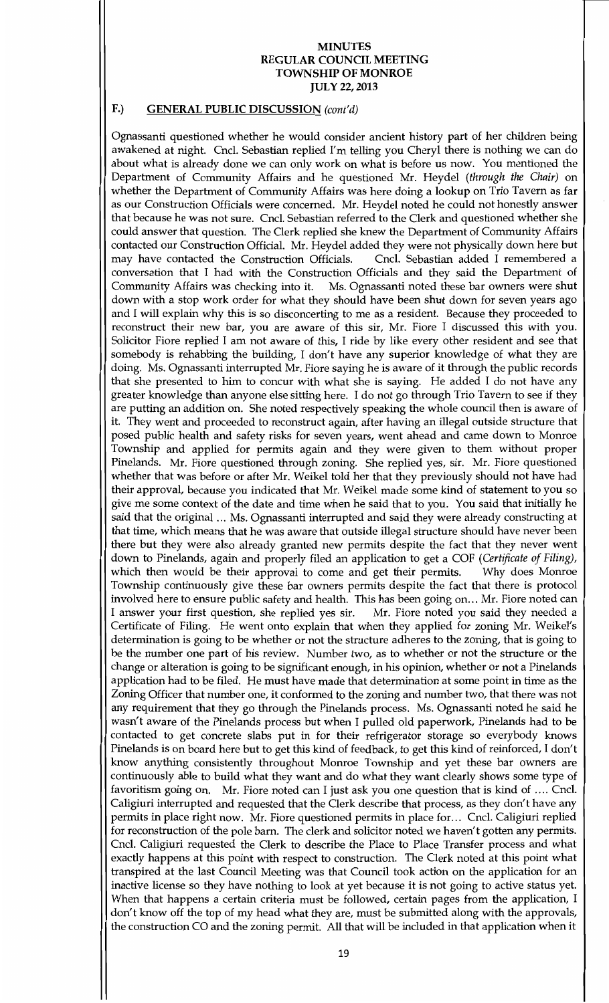### F.) GENERAL PUBLIC DISCUSSION (cont'd)

Ognassanti questioned whether he would consider ancient history part of her children being awakened at night. Cncl. Sebastian replied I'm telling you Cheryl there is nothing we can do about what is already done we can only work on what is before us now. You mentioned the Department of Community Affairs and he questioned Mr. Heydel (through the Chair) on whether the Department of Community Affairs was here doing a lookup on Trio Tavern as far as our Construction Officials were concerned. Mr. Heydel noted he could not honestly answer that because he was not sure. Cncl. Sebastian referred to the Clerk and questioned whether she could answer that question. The Clerk replied she knew the Department of Community Affairs contacted our Construction Official. Mr. Heydel added they were not physically down here but may have contacted the Construction Officials. Cncl. Sebastian added I remembered a may have contacted the Construction Officials. conversation that I had with the Construction Officials and they said the Department of Community Affairs was checking into it. Ms. Ognassanti noted these bar owners were shut down with a stop work order for what they should have been shut down for seven years ago and I will explain why this is so disconcerting to me as a resident. Because they proceeded to reconstruct their new bar, you are aware of this sir, Mr. Fiore I discussed this with you. Solicitor Fiore replied I am not aware of this, I ride by like every other resident and see that somebody is rehabbing the building, I don't have any superior knowledge of what they are doing. Ms. Ognassanti interrupted Mr. Fiore saying he is aware of it through the public records that she presented to him to concur with what she is saying. He added I do not have any greater knowledge than anyone else sitting here. I do not go through Trio Tavern to see if they are putting an addition on. She noted respectively speaking the whole council then is aware of it. They went and proceeded to reconstruct again, after having an illegal outside structure that posed public health and safety risks for seven years, went ahead and came down to Monroe Township and applied for permits again and they were given to them without proper Pinelands. Mr. Fiore questioned through zoning. She replied yes, sir. Mr. Fiore questioned whether that was before or after Mr. Weikel told her that they previously should not have had their approval, because you indicated that Mr. Weikel made some kind of statement to you so give me some context of the date and time when he said that to you. You said that initially he said that the original ... Ms. Ognassanti interrupted and said they were already constructing at that time, which means that he was aware that outside illegal structure should have never been there but they were also already granted new permits despite the fact that they never went down to Pinelands, again and properly filed an application to get a COF (Certificate of Filing), which then would be their approval to come and get their permits. Why does Monroe which then would be their approval to come and get their permits. Township continuously give these bar owners permits despite the fact that there is protocol involved here to ensure public safety and health. This has been going on... Mr. Fiore noted can<br>I answer your first question, she replied yes sir. Mr. Fiore noted you said they needed a I answer your first question, she replied yes sir. Certificate of Filing. He went onto explain that when they applied for zoning Mr. Weikel's determination is going to be whether or not the structure adheres to the zoning, that is going to be the number one part of his review. Number two, as to whether or not the structure or the change or alteration is going to be significant enough, in his opinion, whether or not a Pinelands application had to be filed. He must have made that determination at some point in time as the Zoning Officer that number one, it conformed to the zoning and number two, that there was not any requirement that they go through the Pinelands process. Ms. Ognassanti noted he said he wasn't aware of the Pinelands process but when I pulled old paperwork, Pinelands had to be contacted to get concrete slabs put in for their refrigerator storage so everybody knows Pinelands is on board here but to get this kind of feedback, to get this kind of reinforced, I don't know anything consistently throughout Momoe Township and yet these bar owners are continuously able to build what they want and do what they want clearly shows some type of favoritism going on. Mr. Fiore noted can I just ask you one question that is kind of  $\dots$  Cncl. Caligiuri interrupted and requested that the Clerk describe that process, as they don't have any permits in place right now. Mr. Fiore questioned permits in place for... Cncl. Caligiuri replied for reconstruction of the pole barn. The clerk and solicitor noted we haven't gotten any permits. Cncl. Caligiuri requested the Clerk to describe the Place to Place Transfer process and what exactly happens at this point with respect to construction. The Clerk noted at this point what transpired at the last Council Meeting was that Council took action on the application for an inactive license so they have nothing to look at yet because it is not going to active status yet When that happens a certain criteria must be followed, certain pages from the application, I don't know off the top of my head what they are, must be submitted along with the approvals, the construction CO and the zoning permit. All that will be included in that application when it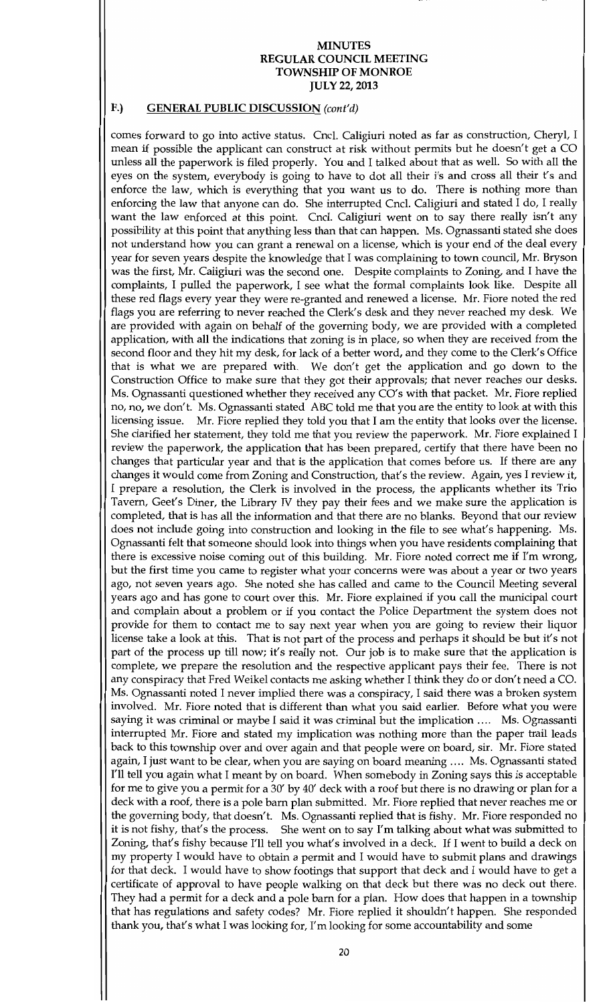## F.) GENERAL PUBLIC DISCUSSION (cont'd)

comes forward to go into active status. Cncl. Caligiuri noted as far as construction, Cheryl, I mean if possible the applicant can construct at risk without permits but he doesn't get a CO unless all the paperwork is filed properly. You and I talked about that as well. So with all the eyes on the system, everybody is going to have to dot all their i's and cross all their t's and enforce the law, which is everything that you want us to do. There is nothing more than enforcing the law, which is everything that you want us to do. There is houting more than enforcing the law that anyone can do. She interrupted Cncl. Caligiuri and stated I do, I really want the law enforced at this point. Cncl. Caligiuri went on to say there really isn't any possibility at this point that anything less than that can happen. Ms. Ognassanti stated she does not understand how you can grant a renewal on a license, which is your end of the deal every year for seven years despite the knowledge that I was complaining to town council, Mr. Bryson was the first, Mr. Caligiuri was the second one. Despite complaints to Zoning, and I have the complaints, I pulled the paperwork, I see what the formal complaints look like. Despite all these red flags every year they were re-granted and renewed a license. Mr. Fiore noted the red flags you are referring to never reached the Clerk's desk and they never reached my desk. We are provided with again on behalf of the governing body, we are provided with a completed application, with all the indications that zoning is in place, so when they are received from the second floor and they hit my desk, for lack of a better word, and they come to the Clerk's Office that is what we are prepared with. We don't get the application and go down to the Construction Office to make sure that they got their approvals; that never reaches our desks. Ms. Ognassanti questioned whether they received any  $CO's$  with that packet. Mr. Fiore replied no, no, we don't. Ms. Ognassanti stated ABC told me that you are the entity to look at with this licencing issue. Mr. Fiore repl no, no, we don't. Ms. Ognassanti stated ABC told me that you are the entity to look at with this licensing issue. Mr. Fiore replied they told you that I am the entity that looks over the license. She clarified her statement, they told me that you review the paperwork. Mr. Fiore explained I review the paperwork, the application that has been prepared, certify that there have been no changes that particular year and that is the application that comes before us. If there are any changes it would come from Zoning and Construction, that's the review. Again, yes I review it, I prepare a resolution, the Clerk is involved in the process, the applicants whether its Trio Tavern, Geet's Diner, the Library IV they pay their fees and we make sure the application is completed, that is has all the information and that there are no blanks. Beyond that our review does not include going into construction and looking in the file to see what's happening. Ms. Ognassanti felt that someone should look into things when you have residents complaining that there is excessive noise coming out of this building. Mr. Fiore noted correct me if I'm wrong, but the first time you came to register what your concerns were was about a year or two years ago, not seven years ago. She noted she has called and came to the Council Meeting several years ago and has gone to court over this. Mr. Fiore explained if you call the municipal court and complain about a problem or if you contact the Police Department the system does not provide for them to contact me to say next year when you are going to review their liquor license take a look at this. That is not part of the process and perhaps it should be but it's not part of the process up till now; it's really not. Our job is to make sure that the application is complete, we prepare the resolution and the respective applicant pays their fee. There is not any conspiracy that Fred Weikel contacts me asking whether I think they do or don't need a CO. Ms. Ognassanti noted I never implied there was a conspiracy, I said there was a broken system involved. Mr. Fiore noted that is different than what you said earlier. Before what you were saying it was criminal or maybe I said it was criminal but the implication .... Ms. Ognassanti interrupted Mr. Fiore and stated my implication was nothing more than the paper trail leads back to this township over and over again and that people were on board, sir. Mr. Fiore stated again, I just want to be clear, when you are saying on board meaning .... Ms. Ognassanti stated I'll tell you again what I meant by on board. When somebody in Zoning says this is acceptable for me to give you a permit for a 30' by 40' deck with a roof but there is no drawing or plan for a<br>declenith a roof, there is no ded and a little decline in the biggest of the transportation of the second the deck with a roof, there is a pole barn plan submitted. Mr. Fiore replied that never reaches me or the governing body, that doesn't. Ms. Ognassanti replied that is fishy. Mr. Fiore responded no it is not fishy, that's the process. She went on to say I'm talking about what was submitted to Zoning, that's fishy because I'll tell you what's involved in a deck. If I went to build a deck on my property I would have to obtain a permit and I would have to submit plans and drawings for that deck. I would have to show footings that support that deck and I would have to get a certificate of approval to have people walking on that deck but there was no deck out there. They had a permit for a deck and a pole barn for a plan. How does that happen in a township that has regulations and safety codes? Mr. Fiore replied it shouldn't happen. She responded thank you, that's what I was looking for, I'm looking for some accountability and some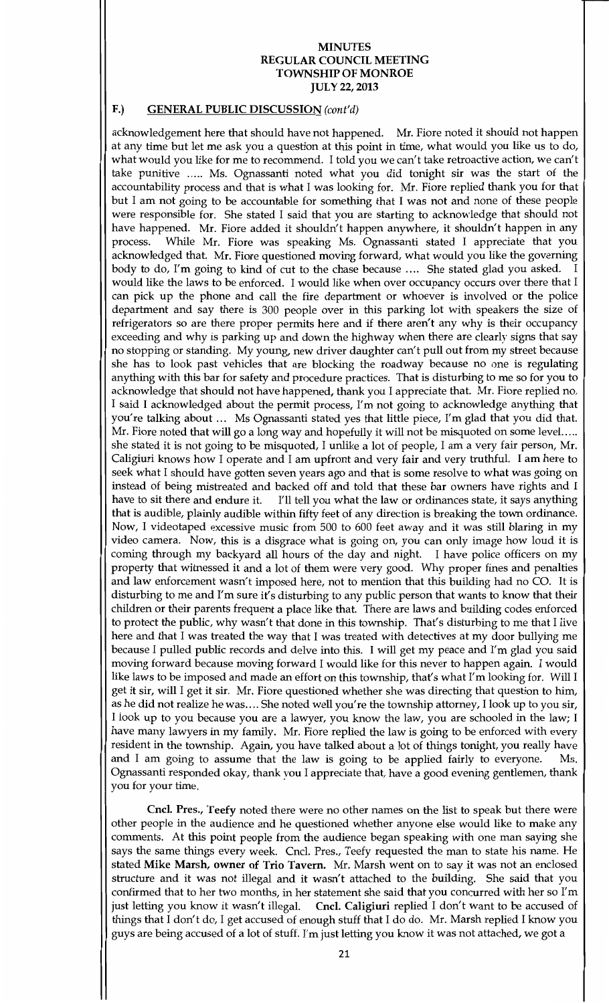## F.) GENERAL PUBLIC DISCUSSION (cont'd)

acknowledgement here that should have not happened. Mr. Fiore noted it should not happen at any time but let me ask you a question at this point in time, what would you like us to do, what would you like for me to recommend. I told you we can't take retroactive action, we can't take punitive ..... Ms. Ognassanti noted what you did tonight sir was the start of the accountability process and that is what I was looking for. Mr. Fiore replied thank you for that but Iam not going to be accountable for something that <sup>I</sup> was not and none of these people were responsible for. She stated I said that you are starting to acknowledge that should not were responsible for. She stated I said that you are starting to acknowledge that should not<br>have happened. Mr. Fiore added it shouldn't happen anywhere, it shouldn't happen in any process. While Mr. Fiore was speaking Ms. Ognassanti stated I appreciate that you acknowledged that. Mr. Fiore questioned moving forward, what would you like the governing body to do, I'm going to kind of cut to the chase because .... She stated glad you asked. would like the laws to be enforced. I would like when over occupancy occurs over there that I can pick up the phone and call the fire department or whoever is involved or the police department and say there is <sup>300</sup> people over in this parking lot with speakers the size of refrigerators so are there proper permits here and if there aren't any why is their occupancy exceeding and why is parking up and down the highway when there are clearly signs that say no stopping or standing My young new driver daughter can t pull out from my street because she has to look past vehicles that are blocking the roadway because no one is regulating anything with this bar for safety and procedure practices. That is disturbing to me so for you to anything with this bar for safety and procedure practices. That is distribing to the so for you to<br>acknowledge that should not have happened, thank you I appreciate that. Mr. Fiore replied no, I said I acknowledged about the permit process, I'm not going to acknowledge anything that you're talking about ... Ms Ognassanti stated yes that little piece, I'm glad that you did that. Mr. Fiore noted that will go a long way and hopefully it will not be misquoted on some level..... she stated it is not going to be misquoted, I unlike a lot of people, I am a very fair person, Mr. Caligiuri knows how I operate and I am upfront and very fair and very truthful. I am here to seek what I should have gotten seven years ago and that is some resolve to what was going on instead of being mistreated and backed off and told that these bar owners have rights and I have to sit there and endure it. I'll tell you what the law or ordinances state, it says anything I'll tell you what the law or ordinances state, it says anything that is audible, plainly audible within fifty feet of any direction is breaking the town ordinance. Now I videotaped excessive music from <sup>500</sup> to <sup>600</sup> feet away and it was still blaring in my video camera. Now, this is a disgrace what is going on, you can only image how loud it is coming through my backyard all hours of the day and night. I have police officers on my property that witnessed it and a lot of them were very good. Why proper fines and penalties and law enforcement wasn't imposed here, not to mention that this building had no CO. It is disturbing to me and I'm sure it's disturbing to any public person that wants to know that their children or their parents frequent a place like that. There are laws and building codes enforced to protect the public, why wasn't that done in this township. That's disturbing to me that I live here and that I was treated the way that I was treated with detectives at my door bullying me because I pulled public records and delve into this. I will get my peace and I'm glad you said moving forward because moving forward I would like for this never to happen again. I would like laws to be imposed and made an effort on this township, that's what I'm looking for. Will I get it sir, will I get it sir. Mr. Fiore questioned whether she was directing that question to him, as he did not realize he was .... She noted well you're the township attorney, I look up to you sir, I look up to you because you are a lawyer, you know the law, you are schooled in the law; I have many lawyers in my family. Mr. Fiore replied the law is going to be enforced with every resident in the township. Again, you have talked about a lot of things tonight, you really have and I am going to assume that the law is going to be applied fairly to everyone. Ms. and I am going to assume that the law is going to be applied fairly to everyone. Ognassanti responded okay, thank you I appreciate that, have a good evening gentlemen, thank you for your time

Cncl. Pres., Teefy noted there were no other names on the list to speak but there were other people in the audience and he questioned whether anyone else would like to make any comments. At this point people from the audience began speaking with one man saying she says the same things every week. Cncl. Pres., Teefy requested the man to state his name. He stated Mike Marsh, owner of Trio Tavern. Mr. Marsh went on to say it was not an enclosed structure and it was not illegal and it wasn't attached to the building. She said that you confirmed that to her two months, in her statement she said that you concurred with her so I'm just letting you know it wasn't illegal. Cncl. Caligiuri replied I don't want to be accused of things that I don't do, I get accused of enough stuff that I do do. Mr. Marsh replied I know you guys are being accused of a lot of stuff. I'm just letting you know it was not attached, we got a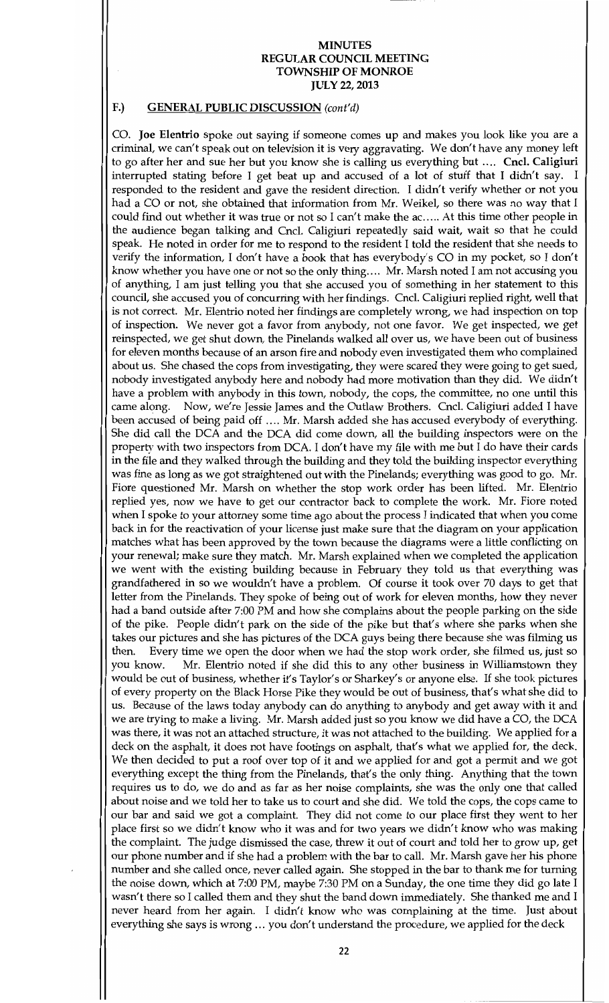#### F.) GENERAL PUBLIC DISCUSSION (cont'd)

CO. Joe Elentrio spoke out saying if someone comes up and makes you look like you are a criminal, we can't speak out on television it is very aggravating. We don't have any money left to go after her and sue her but you know she is calling us everything but .... Cncl. Caligiuri interrupted stating before I get beat up and accused of a lot of stuff that I didn't say. I responded to the resident and gave the resident direction. I didn't verify whether or not you had a CO or not, she obtained that information from Mr. Weikel, so there was no way that I could find out whether it was true or not so I can't make the ac..... At this time other people in the audience began talking and Cncl. Caligiuri repeatedly said wait, wait so that he could speak. He noted in order for me to respond to the resident I told the resident that she needs to verify the information, I don't have a book that has everybody's CO in my pocket, so I don't know whether you have one or not so the only thing.... Mr. Marsh noted I am not accusing you of anything Iamjust telling you that she accused you of something in her statement to this council, she accused you of concurring with her findings. Cncl. Caligiuri replied right, well that is not correct. Mr. Elentrio noted her findings are completely wrong, we had inspection on top of inspection. We never got a favor from anybody, not one favor. We get inspected, we get reinspected, we get shut down, the Pinelands walked all over us, we have been out of business for eleven months because of an arson fire and nobody even investigated them who complained about us. She chased the cops from investigating, they were scared they were going to get sued, nobody investigated anybody here and nobody had more motivation than they did. We didn't have a problem with anybody in this town, nobody, the cops, the committee, no one until this came along. Now, we're Jessie James and the Outlaw Brothers. Cncl. Caligiuri added I have Now, we're Jessie James and the Outlaw Brothers. Cncl. Caligiuri added I have been accused of being paid off .... Mr. Marsh added she has accused everybody of everything. She did call the DCA and the DCA did come down, all the building inspectors were on the property with two inspectors from DCA. I don't have my file with me but I do have their cards in the file and they walked through the building and they told the building inspector everything was fine as long as we got straightened out with the Pinelands; everything was good to go. Mr. Fiore questioned Mr. Marsh on whether the stop work order has been lifted. Mr. Elentrio replied yes, now we have to get our contractor back to complete the work. Mr. Fiore noted when I spoke to your attorney some time ago about the process I indicated that when you come back in for the reactivation of your license just make sure that the diagram on your application matches what has been approved by the town because the diagrams were a little conflicting on your renewal; make sure they match. Mr. Marsh explained when we completed the application we went with the existing building because in February they told us that everything was grandfathered in so we wouldn't have a problem. Of course it took over 70 days to get that letter from the Pinelands. They spoke of being out of work for eleven months, how they never had a band outside after 7:00 PM and how she complains about the people parking on the side of the pike. People didn't park on the side of the pike but that's where she parks when she takes our pictures and she has pictures of the DCA guys being there because she was filming us then. Every time we open the door when we had the stop work order, she filmed us, just so then. Every time we open the door when we had the stop work order, she filmed us, just so you know. Mr. Elentrio noted if she did this to any other business in Williamstown they Mr. Elentrio noted if she did this to any other business in Williamstown they would be out of business, whether it's Taylor's or Sharkey's or anyone else. If she took pictures of every property on the Black Horse Pike they would be out of business, that's what she did to us. Because of the laws today anybody can do anything to anybody and get away with it and we are trying to make a living. Mr. Marsh added just so you know we did have a CO, the DCA was there, it was not an attached structure, it was not attached to the building. We applied for a deck on the asphalt, it does not have footings on asphalt, that's what we applied for, the deck. We then decided to put a roof over top of it and we applied for and got <sup>a</sup> permit and we got everything except the thing from the Pinelands, that's the only thing. Anything that the town requires us to do, we do and as far as her noise complaints, she was the only one that called about noise and we told her to take us to court and she did. We told the cops, the cops came to our bar and said we got a complaint. They did not come to our place first they went to her place first so we didn't know who it was and for two years we didn't know who was making the complaint. The judge dismissed the case, threw it out of court and told her to grow up, get our phone number and if she had a problem with the bar to call. Mr. Marsh gave her his phone number and she called once, never called again. She stopped in the bar to thank me for turning the noise down, which at 7:00 PM, maybe 7:30 PM on a Sunday, the one time they did go late I wasn't there so I called them and they shut the band down immediately. She thanked me and I never heard from her again. I didn't know who was complaining at the time. Just about everything she says is wrong ... you don't understand the procedure, we applied for the deck